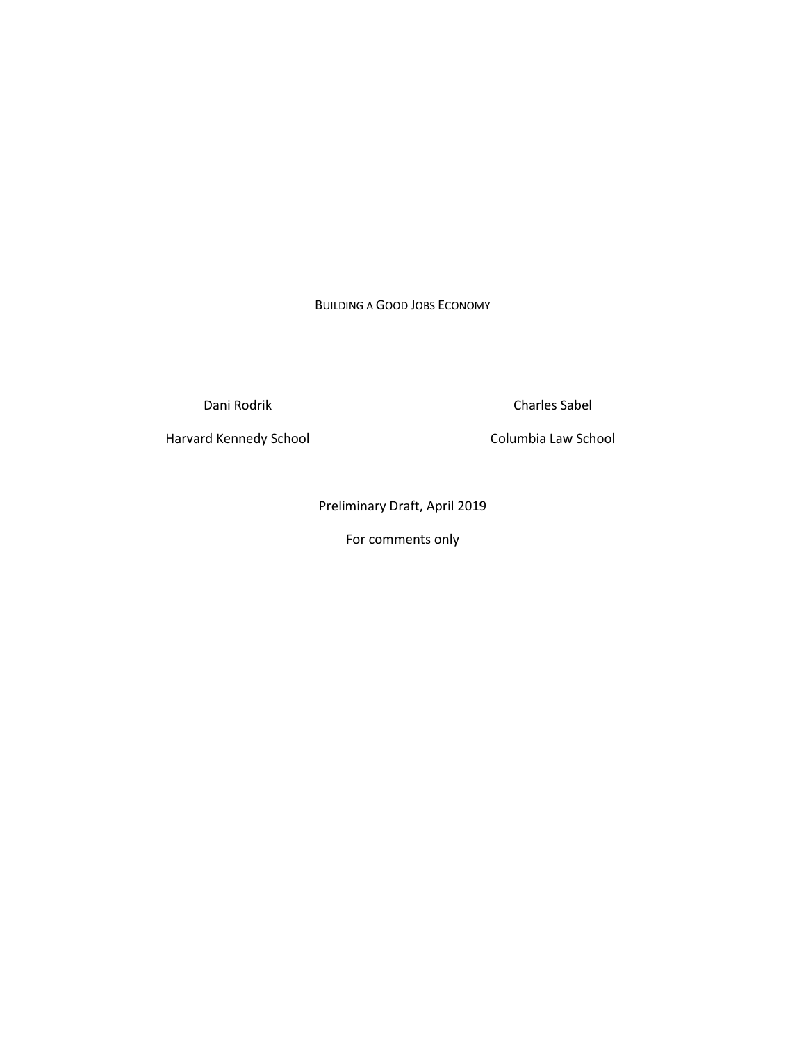BUILDING A GOOD JOBS ECONOMY

Dani Rodrik Charles Sabel

Harvard Kennedy School **Columbia Law School** 

Preliminary Draft, April 2019

For comments only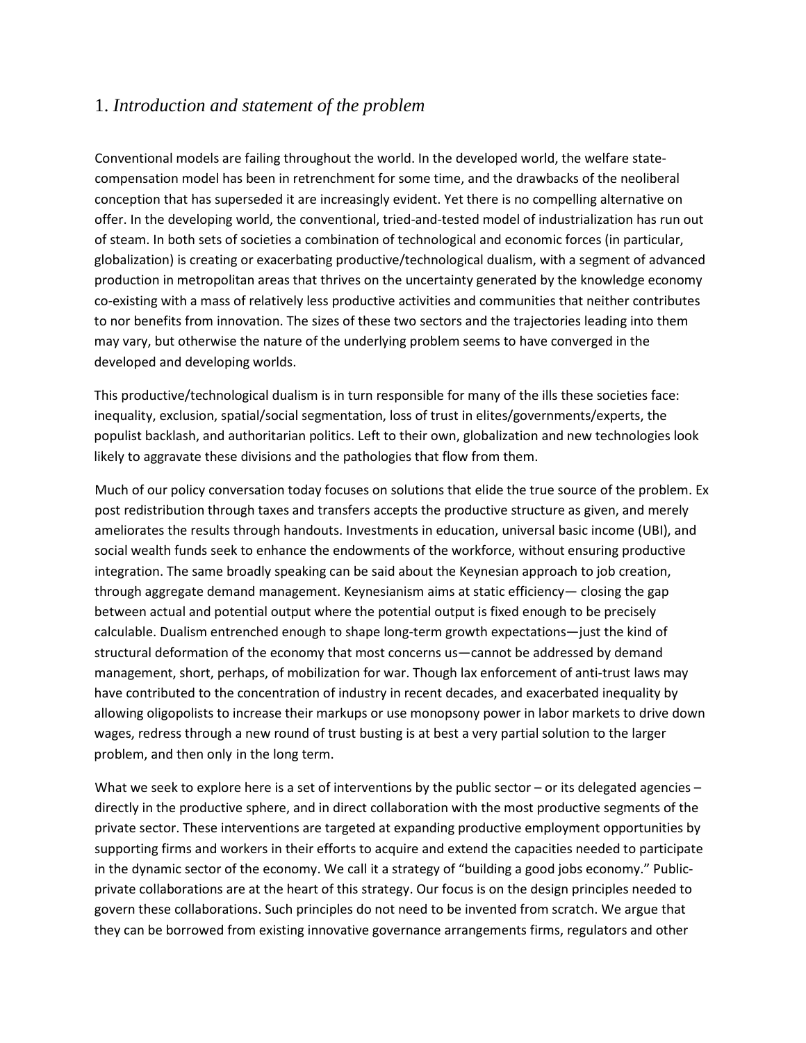### 1. *Introduction and statement of the problem*

Conventional models are failing throughout the world. In the developed world, the welfare statecompensation model has been in retrenchment for some time, and the drawbacks of the neoliberal conception that has superseded it are increasingly evident. Yet there is no compelling alternative on offer. In the developing world, the conventional, tried-and-tested model of industrialization has run out of steam. In both sets of societies a combination of technological and economic forces (in particular, globalization) is creating or exacerbating productive/technological dualism, with a segment of advanced production in metropolitan areas that thrives on the uncertainty generated by the knowledge economy co-existing with a mass of relatively less productive activities and communities that neither contributes to nor benefits from innovation. The sizes of these two sectors and the trajectories leading into them may vary, but otherwise the nature of the underlying problem seems to have converged in the developed and developing worlds.

This productive/technological dualism is in turn responsible for many of the ills these societies face: inequality, exclusion, spatial/social segmentation, loss of trust in elites/governments/experts, the populist backlash, and authoritarian politics. Left to their own, globalization and new technologies look likely to aggravate these divisions and the pathologies that flow from them.

Much of our policy conversation today focuses on solutions that elide the true source of the problem. Ex post redistribution through taxes and transfers accepts the productive structure as given, and merely ameliorates the results through handouts. Investments in education, universal basic income (UBI), and social wealth funds seek to enhance the endowments of the workforce, without ensuring productive integration. The same broadly speaking can be said about the Keynesian approach to job creation, through aggregate demand management. Keynesianism aims at static efficiency— closing the gap between actual and potential output where the potential output is fixed enough to be precisely calculable. Dualism entrenched enough to shape long-term growth expectations—just the kind of structural deformation of the economy that most concerns us—cannot be addressed by demand management, short, perhaps, of mobilization for war. Though lax enforcement of anti-trust laws may have contributed to the concentration of industry in recent decades, and exacerbated inequality by allowing oligopolists to increase their markups or use monopsony power in labor markets to drive down wages, redress through a new round of trust busting is at best a very partial solution to the larger problem, and then only in the long term.

What we seek to explore here is a set of interventions by the public sector – or its delegated agencies – directly in the productive sphere, and in direct collaboration with the most productive segments of the private sector. These interventions are targeted at expanding productive employment opportunities by supporting firms and workers in their efforts to acquire and extend the capacities needed to participate in the dynamic sector of the economy. We call it a strategy of "building a good jobs economy." Publicprivate collaborations are at the heart of this strategy. Our focus is on the design principles needed to govern these collaborations. Such principles do not need to be invented from scratch. We argue that they can be borrowed from existing innovative governance arrangements firms, regulators and other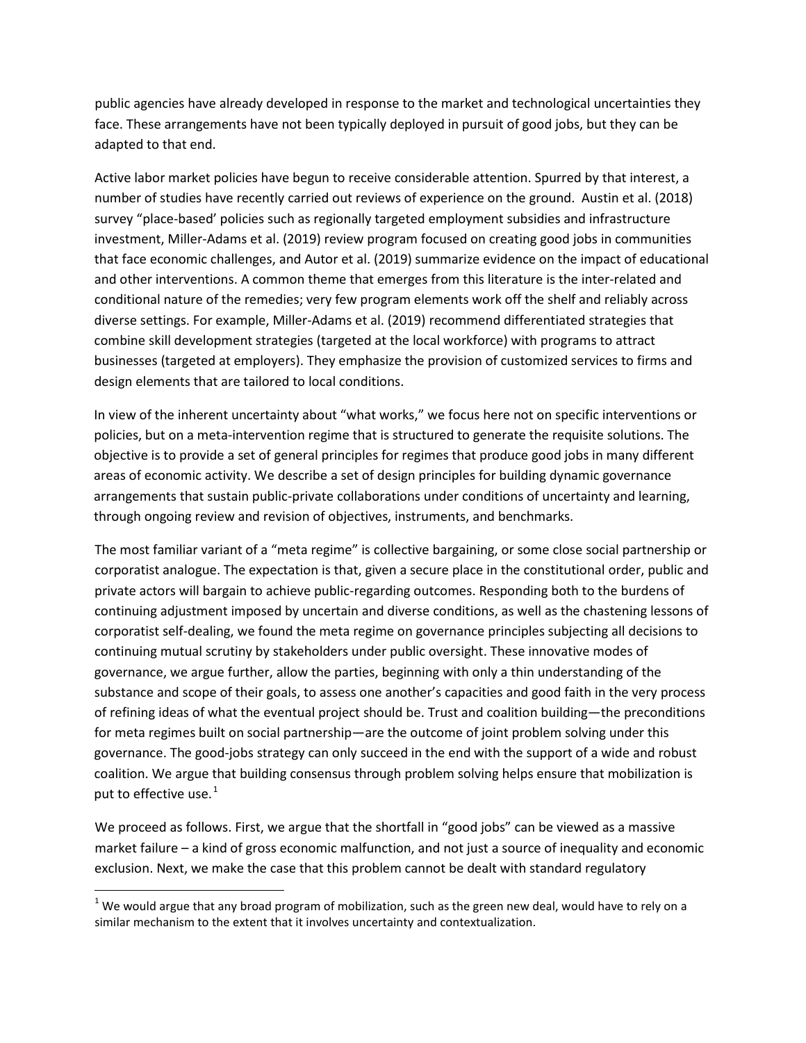public agencies have already developed in response to the market and technological uncertainties they face. These arrangements have not been typically deployed in pursuit of good jobs, but they can be adapted to that end.

Active labor market policies have begun to receive considerable attention. Spurred by that interest, a number of studies have recently carried out reviews of experience on the ground. Austin et al. (2018) survey "place-based' policies such as regionally targeted employment subsidies and infrastructure investment, Miller-Adams et al. (2019) review program focused on creating good jobs in communities that face economic challenges, and Autor et al. (2019) summarize evidence on the impact of educational and other interventions. A common theme that emerges from this literature is the inter-related and conditional nature of the remedies; very few program elements work off the shelf and reliably across diverse settings. For example, Miller-Adams et al. (2019) recommend differentiated strategies that combine skill development strategies (targeted at the local workforce) with programs to attract businesses (targeted at employers). They emphasize the provision of customized services to firms and design elements that are tailored to local conditions.

In view of the inherent uncertainty about "what works," we focus here not on specific interventions or policies, but on a meta-intervention regime that is structured to generate the requisite solutions. The objective is to provide a set of general principles for regimes that produce good jobs in many different areas of economic activity. We describe a set of design principles for building dynamic governance arrangements that sustain public-private collaborations under conditions of uncertainty and learning, through ongoing review and revision of objectives, instruments, and benchmarks.

The most familiar variant of a "meta regime" is collective bargaining, or some close social partnership or corporatist analogue. The expectation is that, given a secure place in the constitutional order, public and private actors will bargain to achieve public-regarding outcomes. Responding both to the burdens of continuing adjustment imposed by uncertain and diverse conditions, as well as the chastening lessons of corporatist self-dealing, we found the meta regime on governance principles subjecting all decisions to continuing mutual scrutiny by stakeholders under public oversight. These innovative modes of governance, we argue further, allow the parties, beginning with only a thin understanding of the substance and scope of their goals, to assess one another's capacities and good faith in the very process of refining ideas of what the eventual project should be. Trust and coalition building—the preconditions for meta regimes built on social partnership—are the outcome of joint problem solving under this governance. The good-jobs strategy can only succeed in the end with the support of a wide and robust coalition. We argue that building consensus through problem solving helps ensure that mobilization is put to effective use. $1$ 

We proceed as follows. First, we argue that the shortfall in "good jobs" can be viewed as a massive market failure – a kind of gross economic malfunction, and not just a source of inequality and economic exclusion. Next, we make the case that this problem cannot be dealt with standard regulatory

<span id="page-2-0"></span> $1$  We would argue that any broad program of mobilization, such as the green new deal, would have to rely on a similar mechanism to the extent that it involves uncertainty and contextualization.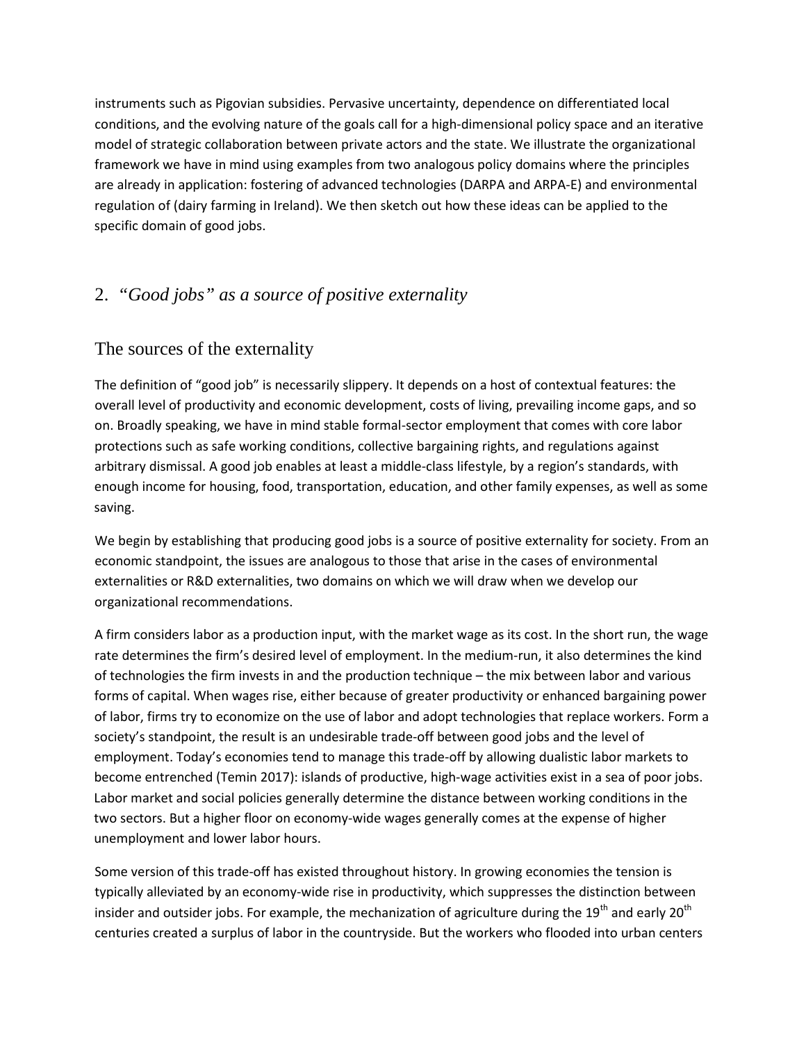instruments such as Pigovian subsidies. Pervasive uncertainty, dependence on differentiated local conditions, and the evolving nature of the goals call for a high-dimensional policy space and an iterative model of strategic collaboration between private actors and the state. We illustrate the organizational framework we have in mind using examples from two analogous policy domains where the principles are already in application: fostering of advanced technologies (DARPA and ARPA-E) and environmental regulation of (dairy farming in Ireland). We then sketch out how these ideas can be applied to the specific domain of good jobs.

# 2. *"Good jobs" as a source of positive externality*

## The sources of the externality

The definition of "good job" is necessarily slippery. It depends on a host of contextual features: the overall level of productivity and economic development, costs of living, prevailing income gaps, and so on. Broadly speaking, we have in mind stable formal-sector employment that comes with core labor protections such as safe working conditions, collective bargaining rights, and regulations against arbitrary dismissal. A good job enables at least a middle-class lifestyle, by a region's standards, with enough income for housing, food, transportation, education, and other family expenses, as well as some saving.

We begin by establishing that producing good jobs is a source of positive externality for society. From an economic standpoint, the issues are analogous to those that arise in the cases of environmental externalities or R&D externalities, two domains on which we will draw when we develop our organizational recommendations.

A firm considers labor as a production input, with the market wage as its cost. In the short run, the wage rate determines the firm's desired level of employment. In the medium-run, it also determines the kind of technologies the firm invests in and the production technique – the mix between labor and various forms of capital. When wages rise, either because of greater productivity or enhanced bargaining power of labor, firms try to economize on the use of labor and adopt technologies that replace workers. Form a society's standpoint, the result is an undesirable trade-off between good jobs and the level of employment. Today's economies tend to manage this trade-off by allowing dualistic labor markets to become entrenched (Temin 2017): islands of productive, high-wage activities exist in a sea of poor jobs. Labor market and social policies generally determine the distance between working conditions in the two sectors. But a higher floor on economy-wide wages generally comes at the expense of higher unemployment and lower labor hours.

Some version of this trade-off has existed throughout history. In growing economies the tension is typically alleviated by an economy-wide rise in productivity, which suppresses the distinction between insider and outsider jobs. For example, the mechanization of agriculture during the 19<sup>th</sup> and early 20<sup>th</sup> centuries created a surplus of labor in the countryside. But the workers who flooded into urban centers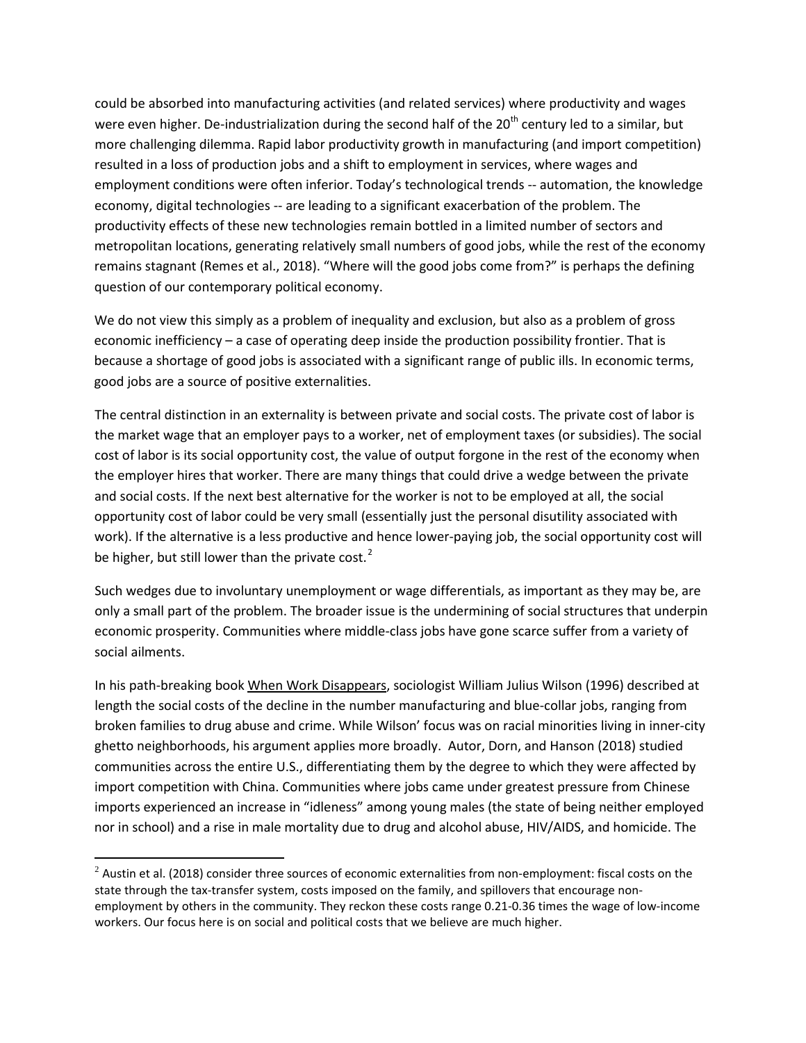could be absorbed into manufacturing activities (and related services) where productivity and wages were even higher. De-industrialization during the second half of the 20<sup>th</sup> century led to a similar, but more challenging dilemma. Rapid labor productivity growth in manufacturing (and import competition) resulted in a loss of production jobs and a shift to employment in services, where wages and employment conditions were often inferior. Today's technological trends -- automation, the knowledge economy, digital technologies -- are leading to a significant exacerbation of the problem. The productivity effects of these new technologies remain bottled in a limited number of sectors and metropolitan locations, generating relatively small numbers of good jobs, while the rest of the economy remains stagnant (Remes et al., 2018). "Where will the good jobs come from?" is perhaps the defining question of our contemporary political economy.

We do not view this simply as a problem of inequality and exclusion, but also as a problem of gross economic inefficiency – a case of operating deep inside the production possibility frontier. That is because a shortage of good jobs is associated with a significant range of public ills. In economic terms, good jobs are a source of positive externalities.

The central distinction in an externality is between private and social costs. The private cost of labor is the market wage that an employer pays to a worker, net of employment taxes (or subsidies). The social cost of labor is its social opportunity cost, the value of output forgone in the rest of the economy when the employer hires that worker. There are many things that could drive a wedge between the private and social costs. If the next best alternative for the worker is not to be employed at all, the social opportunity cost of labor could be very small (essentially just the personal disutility associated with work). If the alternative is a less productive and hence lower-paying job, the social opportunity cost will be higher, but still lower than the private cost. $<sup>2</sup>$  $<sup>2</sup>$  $<sup>2</sup>$ </sup>

Such wedges due to involuntary unemployment or wage differentials, as important as they may be, are only a small part of the problem. The broader issue is the undermining of social structures that underpin economic prosperity. Communities where middle-class jobs have gone scarce suffer from a variety of social ailments.

In his path-breaking book When Work Disappears, sociologist William Julius Wilson (1996) described at length the social costs of the decline in the number manufacturing and blue-collar jobs, ranging from broken families to drug abuse and crime. While Wilson' focus was on racial minorities living in inner-city ghetto neighborhoods, his argument applies more broadly. Autor, Dorn, and Hanson (2018) studied communities across the entire U.S., differentiating them by the degree to which they were affected by import competition with China. Communities where jobs came under greatest pressure from Chinese imports experienced an increase in "idleness" among young males (the state of being neither employed nor in school) and a rise in male mortality due to drug and alcohol abuse, HIV/AIDS, and homicide. The

<span id="page-4-0"></span> $2$  Austin et al. (2018) consider three sources of economic externalities from non-employment: fiscal costs on the state through the tax-transfer system, costs imposed on the family, and spillovers that encourage nonemployment by others in the community. They reckon these costs range 0.21-0.36 times the wage of low-income workers. Our focus here is on social and political costs that we believe are much higher.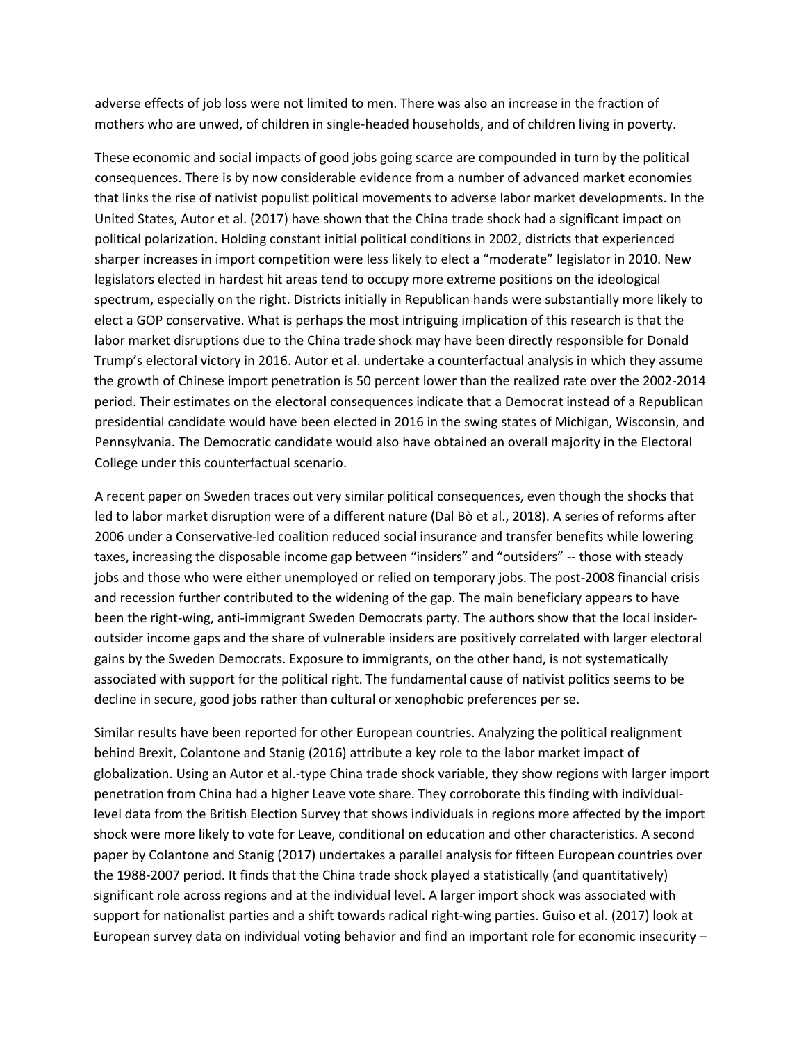adverse effects of job loss were not limited to men. There was also an increase in the fraction of mothers who are unwed, of children in single-headed households, and of children living in poverty.

These economic and social impacts of good jobs going scarce are compounded in turn by the political consequences. There is by now considerable evidence from a number of advanced market economies that links the rise of nativist populist political movements to adverse labor market developments. In the United States, Autor et al. (2017) have shown that the China trade shock had a significant impact on political polarization. Holding constant initial political conditions in 2002, districts that experienced sharper increases in import competition were less likely to elect a "moderate" legislator in 2010. New legislators elected in hardest hit areas tend to occupy more extreme positions on the ideological spectrum, especially on the right. Districts initially in Republican hands were substantially more likely to elect a GOP conservative. What is perhaps the most intriguing implication of this research is that the labor market disruptions due to the China trade shock may have been directly responsible for Donald Trump's electoral victory in 2016. Autor et al. undertake a counterfactual analysis in which they assume the growth of Chinese import penetration is 50 percent lower than the realized rate over the 2002-2014 period. Their estimates on the electoral consequences indicate that a Democrat instead of a Republican presidential candidate would have been elected in 2016 in the swing states of Michigan, Wisconsin, and Pennsylvania. The Democratic candidate would also have obtained an overall majority in the Electoral College under this counterfactual scenario.

A recent paper on Sweden traces out very similar political consequences, even though the shocks that led to labor market disruption were of a different nature (Dal Bò et al., 2018). A series of reforms after 2006 under a Conservative-led coalition reduced social insurance and transfer benefits while lowering taxes, increasing the disposable income gap between "insiders" and "outsiders" -- those with steady jobs and those who were either unemployed or relied on temporary jobs. The post-2008 financial crisis and recession further contributed to the widening of the gap. The main beneficiary appears to have been the right-wing, anti-immigrant Sweden Democrats party. The authors show that the local insideroutsider income gaps and the share of vulnerable insiders are positively correlated with larger electoral gains by the Sweden Democrats. Exposure to immigrants, on the other hand, is not systematically associated with support for the political right. The fundamental cause of nativist politics seems to be decline in secure, good jobs rather than cultural or xenophobic preferences per se.

Similar results have been reported for other European countries. Analyzing the political realignment behind Brexit, Colantone and Stanig (2016) attribute a key role to the labor market impact of globalization. Using an Autor et al.-type China trade shock variable, they show regions with larger import penetration from China had a higher Leave vote share. They corroborate this finding with individuallevel data from the British Election Survey that shows individuals in regions more affected by the import shock were more likely to vote for Leave, conditional on education and other characteristics. A second paper by Colantone and Stanig (2017) undertakes a parallel analysis for fifteen European countries over the 1988-2007 period. It finds that the China trade shock played a statistically (and quantitatively) significant role across regions and at the individual level. A larger import shock was associated with support for nationalist parties and a shift towards radical right-wing parties. Guiso et al. (2017) look at European survey data on individual voting behavior and find an important role for economic insecurity –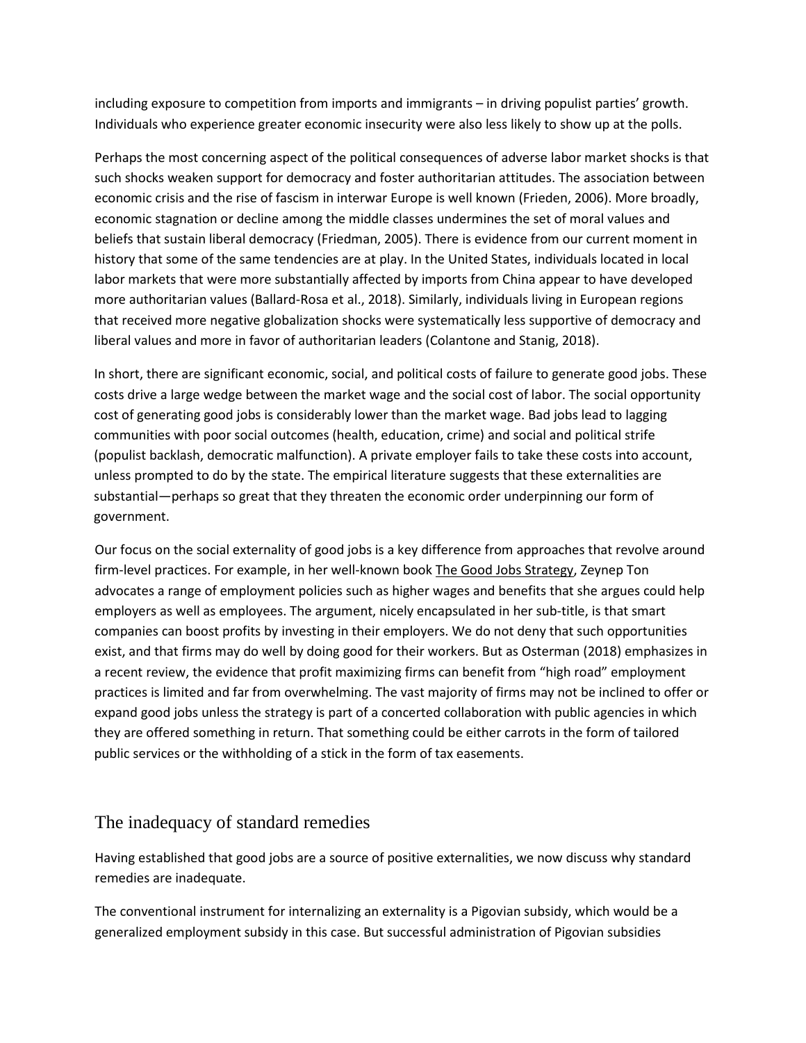including exposure to competition from imports and immigrants – in driving populist parties' growth. Individuals who experience greater economic insecurity were also less likely to show up at the polls.

Perhaps the most concerning aspect of the political consequences of adverse labor market shocks is that such shocks weaken support for democracy and foster authoritarian attitudes. The association between economic crisis and the rise of fascism in interwar Europe is well known (Frieden, 2006). More broadly, economic stagnation or decline among the middle classes undermines the set of moral values and beliefs that sustain liberal democracy (Friedman, 2005). There is evidence from our current moment in history that some of the same tendencies are at play. In the United States, individuals located in local labor markets that were more substantially affected by imports from China appear to have developed more authoritarian values (Ballard-Rosa et al., 2018). Similarly, individuals living in European regions that received more negative globalization shocks were systematically less supportive of democracy and liberal values and more in favor of authoritarian leaders (Colantone and Stanig, 2018).

In short, there are significant economic, social, and political costs of failure to generate good jobs. These costs drive a large wedge between the market wage and the social cost of labor. The social opportunity cost of generating good jobs is considerably lower than the market wage. Bad jobs lead to lagging communities with poor social outcomes (health, education, crime) and social and political strife (populist backlash, democratic malfunction). A private employer fails to take these costs into account, unless prompted to do by the state. The empirical literature suggests that these externalities are substantial—perhaps so great that they threaten the economic order underpinning our form of government.

Our focus on the social externality of good jobs is a key difference from approaches that revolve around firm-level practices. For example, in her well-known book The Good Jobs Strategy, Zeynep Ton advocates a range of employment policies such as higher wages and benefits that she argues could help employers as well as employees. The argument, nicely encapsulated in her sub-title, is that smart companies can boost profits by investing in their employers. We do not deny that such opportunities exist, and that firms may do well by doing good for their workers. But as Osterman (2018) emphasizes in a recent review, the evidence that profit maximizing firms can benefit from "high road" employment practices is limited and far from overwhelming. The vast majority of firms may not be inclined to offer or expand good jobs unless the strategy is part of a concerted collaboration with public agencies in which they are offered something in return. That something could be either carrots in the form of tailored public services or the withholding of a stick in the form of tax easements.

## The inadequacy of standard remedies

Having established that good jobs are a source of positive externalities, we now discuss why standard remedies are inadequate.

The conventional instrument for internalizing an externality is a Pigovian subsidy, which would be a generalized employment subsidy in this case. But successful administration of Pigovian subsidies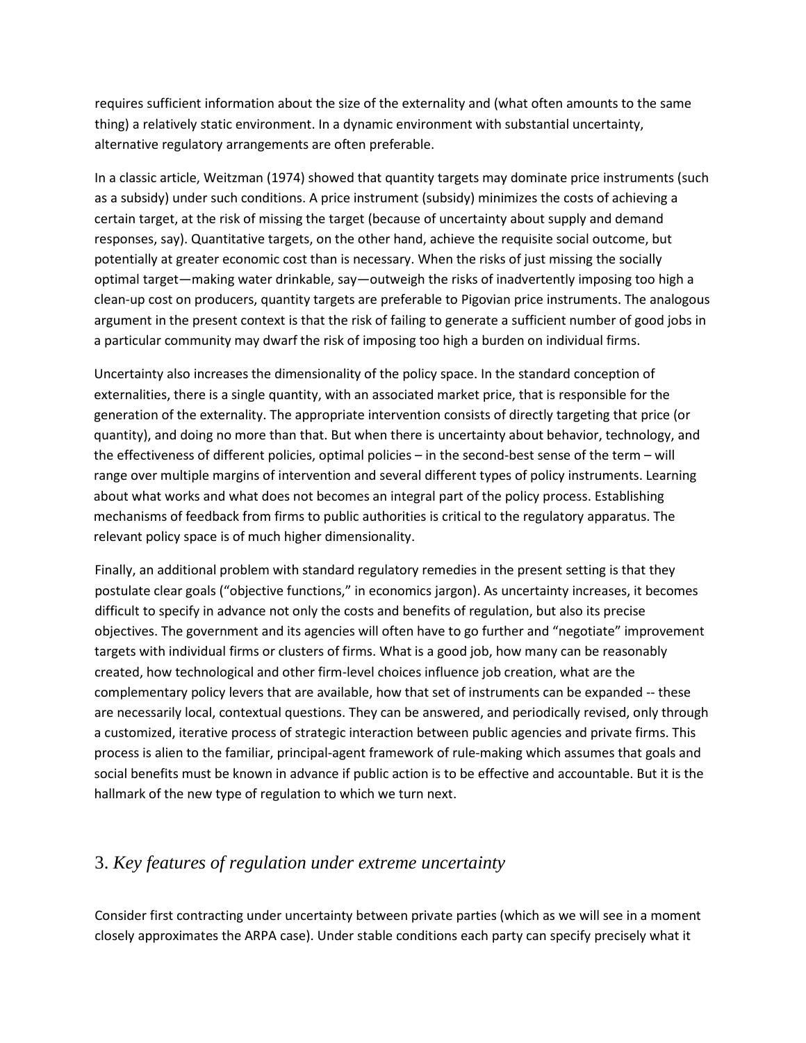requires sufficient information about the size of the externality and (what often amounts to the same thing) a relatively static environment. In a dynamic environment with substantial uncertainty, alternative regulatory arrangements are often preferable.

In a classic article, Weitzman (1974) showed that quantity targets may dominate price instruments (such as a subsidy) under such conditions. A price instrument (subsidy) minimizes the costs of achieving a certain target, at the risk of missing the target (because of uncertainty about supply and demand responses, say). Quantitative targets, on the other hand, achieve the requisite social outcome, but potentially at greater economic cost than is necessary. When the risks of just missing the socially optimal target—making water drinkable, say—outweigh the risks of inadvertently imposing too high a clean-up cost on producers, quantity targets are preferable to Pigovian price instruments. The analogous argument in the present context is that the risk of failing to generate a sufficient number of good jobs in a particular community may dwarf the risk of imposing too high a burden on individual firms.

Uncertainty also increases the dimensionality of the policy space. In the standard conception of externalities, there is a single quantity, with an associated market price, that is responsible for the generation of the externality. The appropriate intervention consists of directly targeting that price (or quantity), and doing no more than that. But when there is uncertainty about behavior, technology, and the effectiveness of different policies, optimal policies – in the second-best sense of the term – will range over multiple margins of intervention and several different types of policy instruments. Learning about what works and what does not becomes an integral part of the policy process. Establishing mechanisms of feedback from firms to public authorities is critical to the regulatory apparatus. The relevant policy space is of much higher dimensionality.

Finally, an additional problem with standard regulatory remedies in the present setting is that they postulate clear goals ("objective functions," in economics jargon). As uncertainty increases, it becomes difficult to specify in advance not only the costs and benefits of regulation, but also its precise objectives. The government and its agencies will often have to go further and "negotiate" improvement targets with individual firms or clusters of firms. What is a good job, how many can be reasonably created, how technological and other firm-level choices influence job creation, what are the complementary policy levers that are available, how that set of instruments can be expanded -- these are necessarily local, contextual questions. They can be answered, and periodically revised, only through a customized, iterative process of strategic interaction between public agencies and private firms. This process is alien to the familiar, principal-agent framework of rule-making which assumes that goals and social benefits must be known in advance if public action is to be effective and accountable. But it is the hallmark of the new type of regulation to which we turn next.

### 3. *Key features of regulation under extreme uncertainty*

Consider first contracting under uncertainty between private parties (which as we will see in a moment closely approximates the ARPA case). Under stable conditions each party can specify precisely what it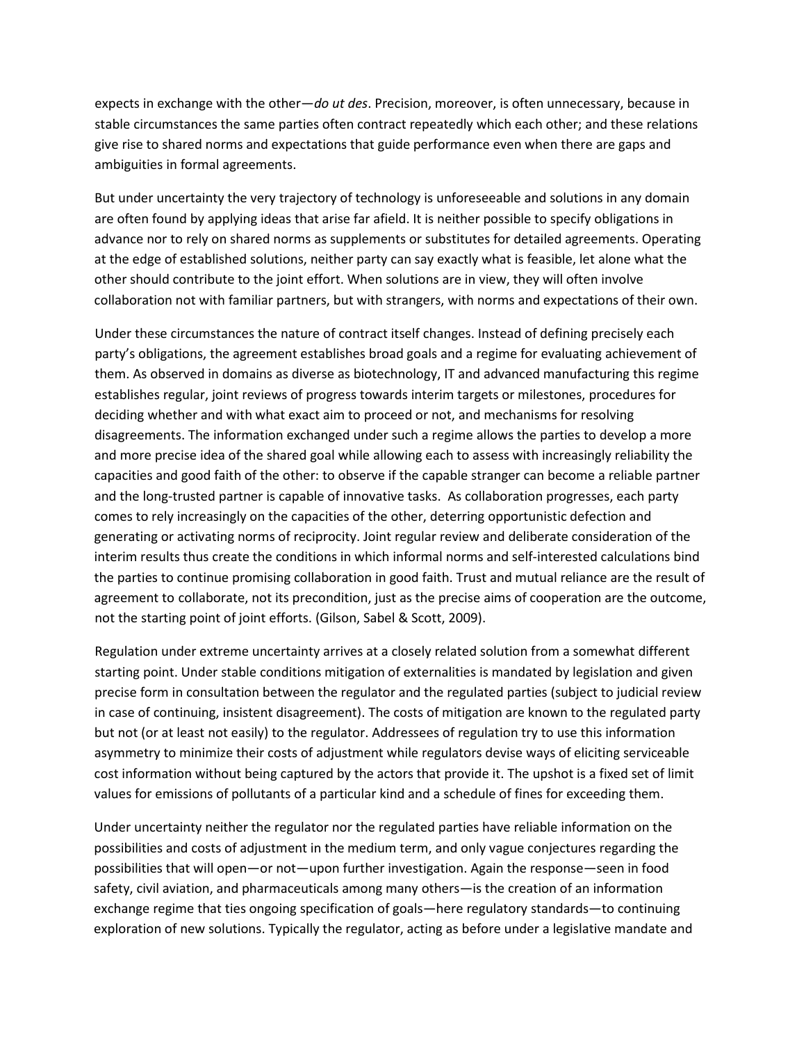expects in exchange with the other—*do ut des*. Precision, moreover, is often unnecessary, because in stable circumstances the same parties often contract repeatedly which each other; and these relations give rise to shared norms and expectations that guide performance even when there are gaps and ambiguities in formal agreements.

But under uncertainty the very trajectory of technology is unforeseeable and solutions in any domain are often found by applying ideas that arise far afield. It is neither possible to specify obligations in advance nor to rely on shared norms as supplements or substitutes for detailed agreements. Operating at the edge of established solutions, neither party can say exactly what is feasible, let alone what the other should contribute to the joint effort. When solutions are in view, they will often involve collaboration not with familiar partners, but with strangers, with norms and expectations of their own.

Under these circumstances the nature of contract itself changes. Instead of defining precisely each party's obligations, the agreement establishes broad goals and a regime for evaluating achievement of them. As observed in domains as diverse as biotechnology, IT and advanced manufacturing this regime establishes regular, joint reviews of progress towards interim targets or milestones, procedures for deciding whether and with what exact aim to proceed or not, and mechanisms for resolving disagreements. The information exchanged under such a regime allows the parties to develop a more and more precise idea of the shared goal while allowing each to assess with increasingly reliability the capacities and good faith of the other: to observe if the capable stranger can become a reliable partner and the long-trusted partner is capable of innovative tasks. As collaboration progresses, each party comes to rely increasingly on the capacities of the other, deterring opportunistic defection and generating or activating norms of reciprocity. Joint regular review and deliberate consideration of the interim results thus create the conditions in which informal norms and self-interested calculations bind the parties to continue promising collaboration in good faith. Trust and mutual reliance are the result of agreement to collaborate, not its precondition, just as the precise aims of cooperation are the outcome, not the starting point of joint efforts. (Gilson, Sabel & Scott, 2009).

Regulation under extreme uncertainty arrives at a closely related solution from a somewhat different starting point. Under stable conditions mitigation of externalities is mandated by legislation and given precise form in consultation between the regulator and the regulated parties (subject to judicial review in case of continuing, insistent disagreement). The costs of mitigation are known to the regulated party but not (or at least not easily) to the regulator. Addressees of regulation try to use this information asymmetry to minimize their costs of adjustment while regulators devise ways of eliciting serviceable cost information without being captured by the actors that provide it. The upshot is a fixed set of limit values for emissions of pollutants of a particular kind and a schedule of fines for exceeding them.

Under uncertainty neither the regulator nor the regulated parties have reliable information on the possibilities and costs of adjustment in the medium term, and only vague conjectures regarding the possibilities that will open—or not—upon further investigation. Again the response—seen in food safety, civil aviation, and pharmaceuticals among many others—is the creation of an information exchange regime that ties ongoing specification of goals—here regulatory standards—to continuing exploration of new solutions. Typically the regulator, acting as before under a legislative mandate and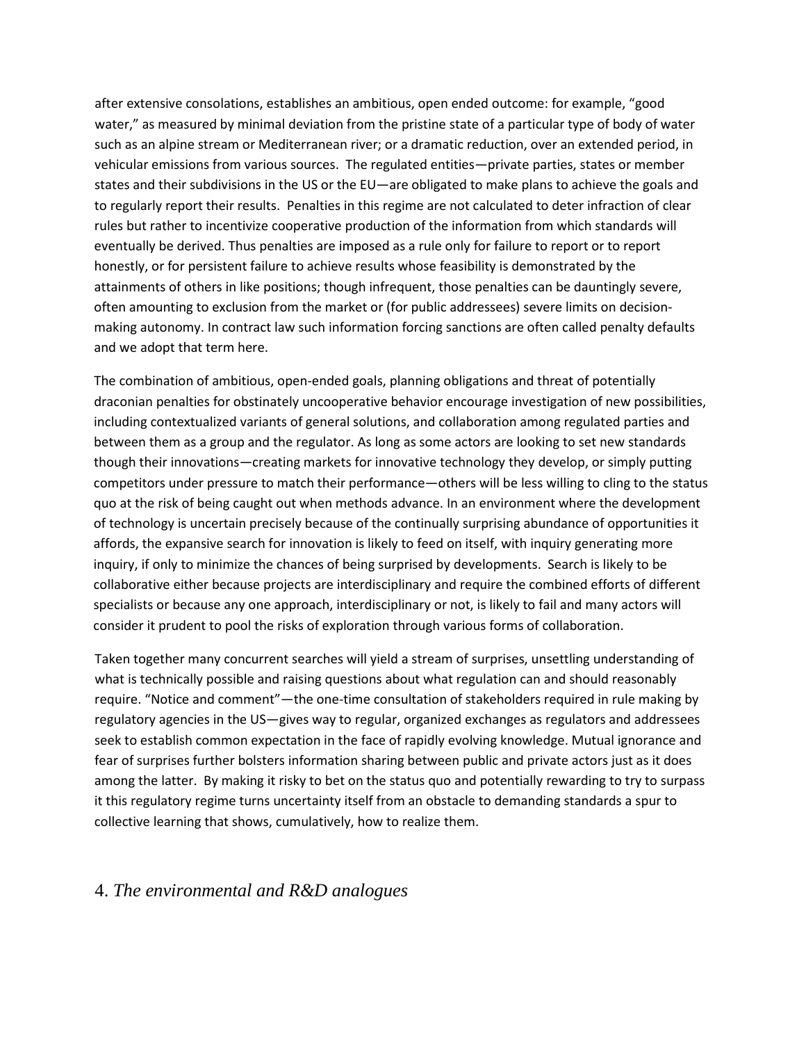after extensive consolations, establishes an ambitious, open ended outcome: for example, "good water," as measured by minimal deviation from the pristine state of a particular type of body of water such as an alpine stream or Mediterranean river; or a dramatic reduction, over an extended period, in vehicular emissions from various sources. The regulated entities—private parties, states or member states and their subdivisions in the US or the EU—are obligated to make plans to achieve the goals and to regularly report their results. Penalties in this regime are not calculated to deter infraction of clear rules but rather to incentivize cooperative production of the information from which standards will eventually be derived. Thus penalties are imposed as a rule only for failure to report or to report honestly, or for persistent failure to achieve results whose feasibility is demonstrated by the attainments of others in like positions; though infrequent, those penalties can be dauntingly severe, often amounting to exclusion from the market or (for public addressees) severe limits on decisionmaking autonomy. In contract law such information forcing sanctions are often called penalty defaults and we adopt that term here.

The combination of ambitious, open-ended goals, planning obligations and threat of potentially draconian penalties for obstinately uncooperative behavior encourage investigation of new possibilities, including contextualized variants of general solutions, and collaboration among regulated parties and between them as a group and the regulator. As long as some actors are looking to set new standards though their innovations—creating markets for innovative technology they develop, or simply putting competitors under pressure to match their performance—others will be less willing to cling to the status quo at the risk of being caught out when methods advance. In an environment where the development of technology is uncertain precisely because of the continually surprising abundance of opportunities it affords, the expansive search for innovation is likely to feed on itself, with inquiry generating more inquiry, if only to minimize the chances of being surprised by developments. Search is likely to be collaborative either because projects are interdisciplinary and require the combined efforts of different specialists or because any one approach, interdisciplinary or not, is likely to fail and many actors will consider it prudent to pool the risks of exploration through various forms of collaboration.

Taken together many concurrent searches will yield a stream of surprises, unsettling understanding of what is technically possible and raising questions about what regulation can and should reasonably require. "Notice and comment"—the one-time consultation of stakeholders required in rule making by regulatory agencies in the US—gives way to regular, organized exchanges as regulators and addressees seek to establish common expectation in the face of rapidly evolving knowledge. Mutual ignorance and fear of surprises further bolsters information sharing between public and private actors just as it does among the latter. By making it risky to bet on the status quo and potentially rewarding to try to surpass it this regulatory regime turns uncertainty itself from an obstacle to demanding standards a spur to collective learning that shows, cumulatively, how to realize them.

### 4. *The environmental and R&D analogues*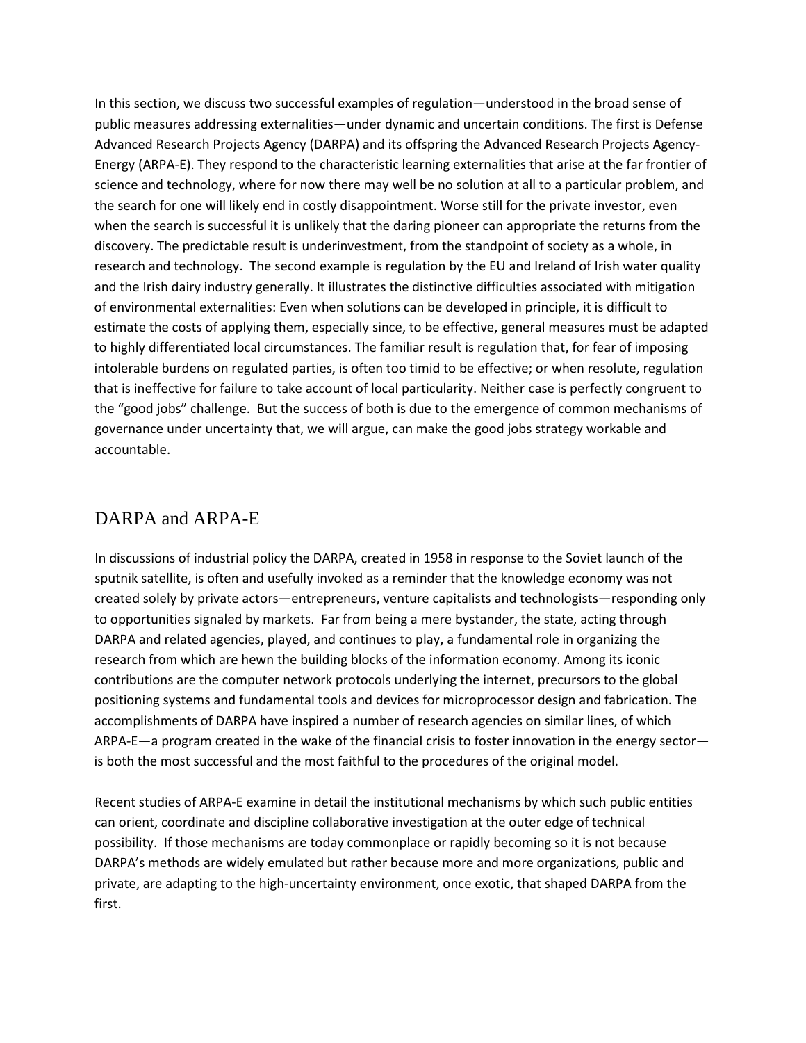In this section, we discuss two successful examples of regulation—understood in the broad sense of public measures addressing externalities—under dynamic and uncertain conditions. The first is Defense Advanced Research Projects Agency (DARPA) and its offspring the Advanced Research Projects Agency-Energy (ARPA-E). They respond to the characteristic learning externalities that arise at the far frontier of science and technology, where for now there may well be no solution at all to a particular problem, and the search for one will likely end in costly disappointment. Worse still for the private investor, even when the search is successful it is unlikely that the daring pioneer can appropriate the returns from the discovery. The predictable result is underinvestment, from the standpoint of society as a whole, in research and technology. The second example is regulation by the EU and Ireland of Irish water quality and the Irish dairy industry generally. It illustrates the distinctive difficulties associated with mitigation of environmental externalities: Even when solutions can be developed in principle, it is difficult to estimate the costs of applying them, especially since, to be effective, general measures must be adapted to highly differentiated local circumstances. The familiar result is regulation that, for fear of imposing intolerable burdens on regulated parties, is often too timid to be effective; or when resolute, regulation that is ineffective for failure to take account of local particularity. Neither case is perfectly congruent to the "good jobs" challenge. But the success of both is due to the emergence of common mechanisms of governance under uncertainty that, we will argue, can make the good jobs strategy workable and accountable.

#### DARPA and ARPA-E

In discussions of industrial policy the DARPA, created in 1958 in response to the Soviet launch of the sputnik satellite, is often and usefully invoked as a reminder that the knowledge economy was not created solely by private actors—entrepreneurs, venture capitalists and technologists—responding only to opportunities signaled by markets. Far from being a mere bystander, the state, acting through DARPA and related agencies, played, and continues to play, a fundamental role in organizing the research from which are hewn the building blocks of the information economy. Among its iconic contributions are the computer network protocols underlying the internet, precursors to the global positioning systems and fundamental tools and devices for microprocessor design and fabrication. The accomplishments of DARPA have inspired a number of research agencies on similar lines, of which ARPA-E—a program created in the wake of the financial crisis to foster innovation in the energy sector is both the most successful and the most faithful to the procedures of the original model.

Recent studies of ARPA-E examine in detail the institutional mechanisms by which such public entities can orient, coordinate and discipline collaborative investigation at the outer edge of technical possibility. If those mechanisms are today commonplace or rapidly becoming so it is not because DARPA's methods are widely emulated but rather because more and more organizations, public and private, are adapting to the high-uncertainty environment, once exotic, that shaped DARPA from the first.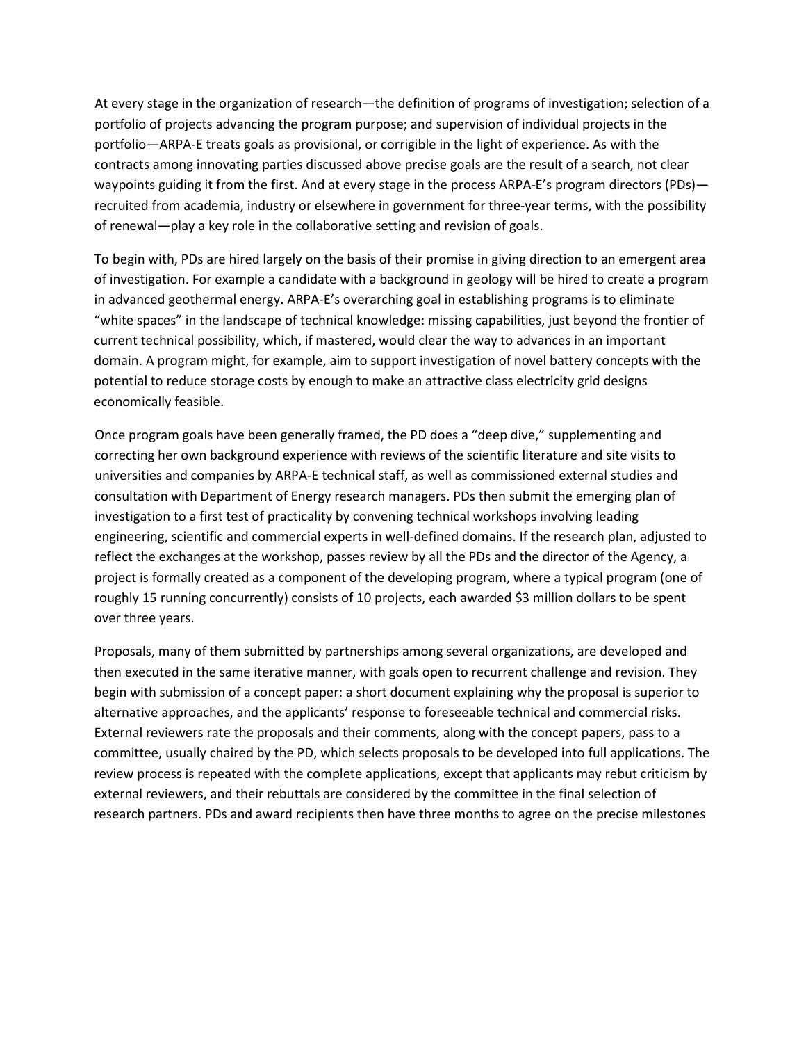At every stage in the organization of research—the definition of programs of investigation; selection of a portfolio of projects advancing the program purpose; and supervision of individual projects in the portfolio—ARPA-E treats goals as provisional, or corrigible in the light of experience. As with the contracts among innovating parties discussed above precise goals are the result of a search, not clear waypoints guiding it from the first. And at every stage in the process ARPA-E's program directors (PDs) recruited from academia, industry or elsewhere in government for three-year terms, with the possibility of renewal—play a key role in the collaborative setting and revision of goals.

To begin with, PDs are hired largely on the basis of their promise in giving direction to an emergent area of investigation. For example a candidate with a background in geology will be hired to create a program in advanced geothermal energy. ARPA-E's overarching goal in establishing programs is to eliminate "white spaces" in the landscape of technical knowledge: missing capabilities, just beyond the frontier of current technical possibility, which, if mastered, would clear the way to advances in an important domain. A program might, for example, aim to support investigation of novel battery concepts with the potential to reduce storage costs by enough to make an attractive class electricity grid designs economically feasible.

Once program goals have been generally framed, the PD does a "deep dive," supplementing and correcting her own background experience with reviews of the scientific literature and site visits to universities and companies by ARPA-E technical staff, as well as commissioned external studies and consultation with Department of Energy research managers. PDs then submit the emerging plan of investigation to a first test of practicality by convening technical workshops involving leading engineering, scientific and commercial experts in well-defined domains. If the research plan, adjusted to reflect the exchanges at the workshop, passes review by all the PDs and the director of the Agency, a project is formally created as a component of the developing program, where a typical program (one of roughly 15 running concurrently) consists of 10 projects, each awarded \$3 million dollars to be spent over three years.

Proposals, many of them submitted by partnerships among several organizations, are developed and then executed in the same iterative manner, with goals open to recurrent challenge and revision. They begin with submission of a concept paper: a short document explaining why the proposal is superior to alternative approaches, and the applicants' response to foreseeable technical and commercial risks. External reviewers rate the proposals and their comments, along with the concept papers, pass to a committee, usually chaired by the PD, which selects proposals to be developed into full applications. The review process is repeated with the complete applications, except that applicants may rebut criticism by external reviewers, and their rebuttals are considered by the committee in the final selection of research partners. PDs and award recipients then have three months to agree on the precise milestones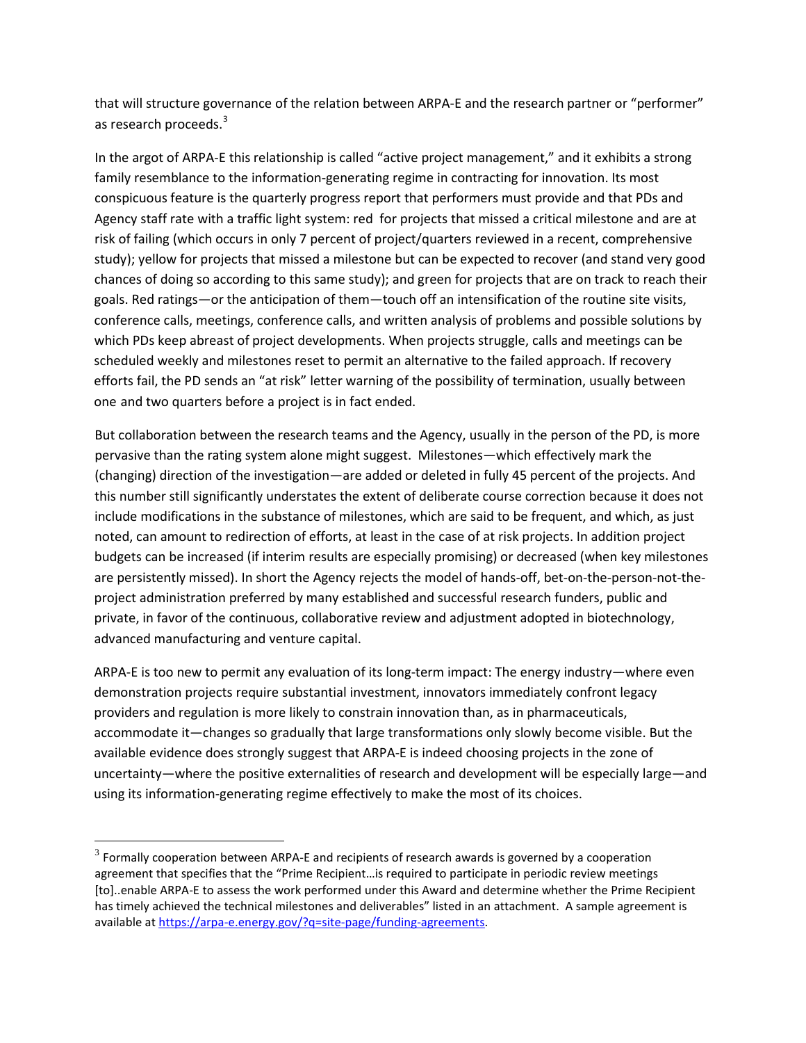that will structure governance of the relation between ARPA-E and the research partner or "performer" as research proceeds.<sup>[3](#page-12-0)</sup>

In the argot of ARPA-E this relationship is called "active project management," and it exhibits a strong family resemblance to the information-generating regime in contracting for innovation. Its most conspicuous feature is the quarterly progress report that performers must provide and that PDs and Agency staff rate with a traffic light system: red for projects that missed a critical milestone and are at risk of failing (which occurs in only 7 percent of project/quarters reviewed in a recent, comprehensive study); yellow for projects that missed a milestone but can be expected to recover (and stand very good chances of doing so according to this same study); and green for projects that are on track to reach their goals. Red ratings—or the anticipation of them—touch off an intensification of the routine site visits, conference calls, meetings, conference calls, and written analysis of problems and possible solutions by which PDs keep abreast of project developments. When projects struggle, calls and meetings can be scheduled weekly and milestones reset to permit an alternative to the failed approach. If recovery efforts fail, the PD sends an "at risk" letter warning of the possibility of termination, usually between one and two quarters before a project is in fact ended.

But collaboration between the research teams and the Agency, usually in the person of the PD, is more pervasive than the rating system alone might suggest. Milestones—which effectively mark the (changing) direction of the investigation—are added or deleted in fully 45 percent of the projects. And this number still significantly understates the extent of deliberate course correction because it does not include modifications in the substance of milestones, which are said to be frequent, and which, as just noted, can amount to redirection of efforts, at least in the case of at risk projects. In addition project budgets can be increased (if interim results are especially promising) or decreased (when key milestones are persistently missed). In short the Agency rejects the model of hands-off, bet-on-the-person-not-theproject administration preferred by many established and successful research funders, public and private, in favor of the continuous, collaborative review and adjustment adopted in biotechnology, advanced manufacturing and venture capital.

ARPA-E is too new to permit any evaluation of its long-term impact: The energy industry—where even demonstration projects require substantial investment, innovators immediately confront legacy providers and regulation is more likely to constrain innovation than, as in pharmaceuticals, accommodate it—changes so gradually that large transformations only slowly become visible. But the available evidence does strongly suggest that ARPA-E is indeed choosing projects in the zone of uncertainty—where the positive externalities of research and development will be especially large—and using its information-generating regime effectively to make the most of its choices.

<span id="page-12-0"></span> $3$  Formally cooperation between ARPA-E and recipients of research awards is governed by a cooperation agreement that specifies that the "Prime Recipient…is required to participate in periodic review meetings [to]..enable ARPA-E to assess the work performed under this Award and determine whether the Prime Recipient has timely achieved the technical milestones and deliverables" listed in an attachment. A sample agreement is available at [https://arpa-e.energy.gov/?q=site-page/funding-agreements.](https://arpa-e.energy.gov/?q=site-page/funding-agreements)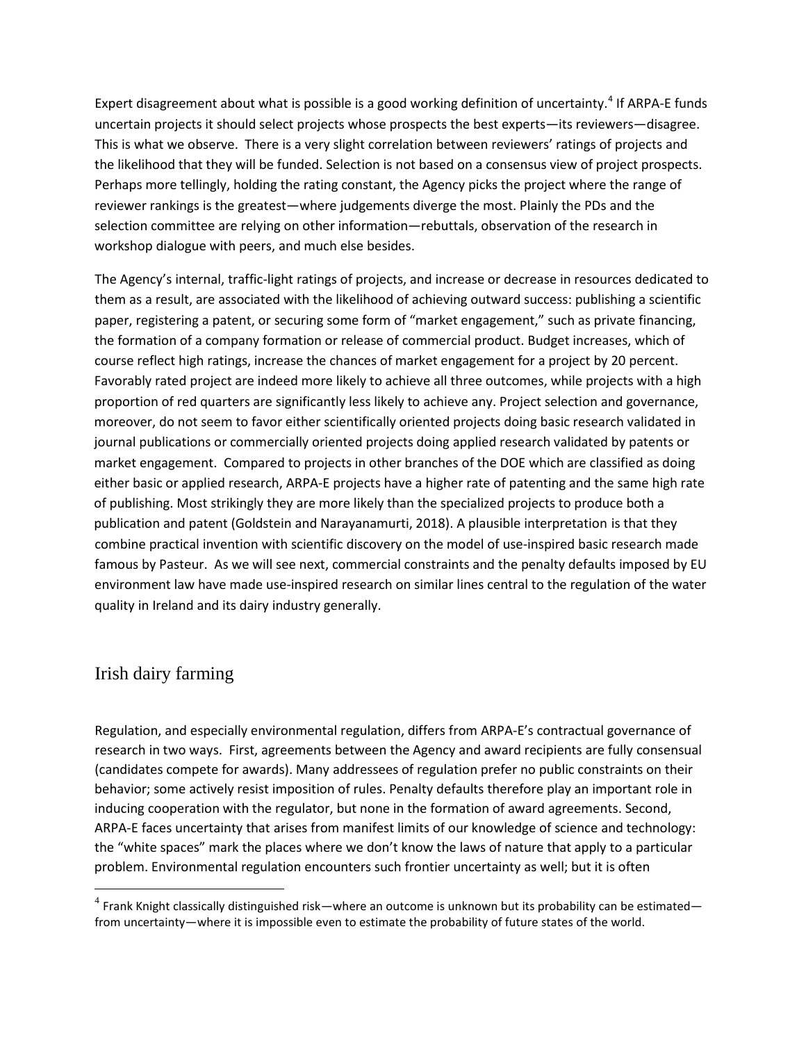Expert disagreement about what is possible is a good working definition of uncertainty.<sup>[4](#page-13-0)</sup> If ARPA-E funds uncertain projects it should select projects whose prospects the best experts—its reviewers—disagree. This is what we observe. There is a very slight correlation between reviewers' ratings of projects and the likelihood that they will be funded. Selection is not based on a consensus view of project prospects. Perhaps more tellingly, holding the rating constant, the Agency picks the project where the range of reviewer rankings is the greatest—where judgements diverge the most. Plainly the PDs and the selection committee are relying on other information—rebuttals, observation of the research in workshop dialogue with peers, and much else besides.

The Agency's internal, traffic-light ratings of projects, and increase or decrease in resources dedicated to them as a result, are associated with the likelihood of achieving outward success: publishing a scientific paper, registering a patent, or securing some form of "market engagement," such as private financing, the formation of a company formation or release of commercial product. Budget increases, which of course reflect high ratings, increase the chances of market engagement for a project by 20 percent. Favorably rated project are indeed more likely to achieve all three outcomes, while projects with a high proportion of red quarters are significantly less likely to achieve any. Project selection and governance, moreover, do not seem to favor either scientifically oriented projects doing basic research validated in journal publications or commercially oriented projects doing applied research validated by patents or market engagement. Compared to projects in other branches of the DOE which are classified as doing either basic or applied research, ARPA-E projects have a higher rate of patenting and the same high rate of publishing. Most strikingly they are more likely than the specialized projects to produce both a publication and patent (Goldstein and Narayanamurti, 2018). A plausible interpretation is that they combine practical invention with scientific discovery on the model of use-inspired basic research made famous by Pasteur. As we will see next, commercial constraints and the penalty defaults imposed by EU environment law have made use-inspired research on similar lines central to the regulation of the water quality in Ireland and its dairy industry generally.

## Irish dairy farming

Regulation, and especially environmental regulation, differs from ARPA-E's contractual governance of research in two ways. First, agreements between the Agency and award recipients are fully consensual (candidates compete for awards). Many addressees of regulation prefer no public constraints on their behavior; some actively resist imposition of rules. Penalty defaults therefore play an important role in inducing cooperation with the regulator, but none in the formation of award agreements. Second, ARPA-E faces uncertainty that arises from manifest limits of our knowledge of science and technology: the "white spaces" mark the places where we don't know the laws of nature that apply to a particular problem. Environmental regulation encounters such frontier uncertainty as well; but it is often

<span id="page-13-0"></span> $4$  Frank Knight classically distinguished risk—where an outcome is unknown but its probability can be estimated from uncertainty—where it is impossible even to estimate the probability of future states of the world.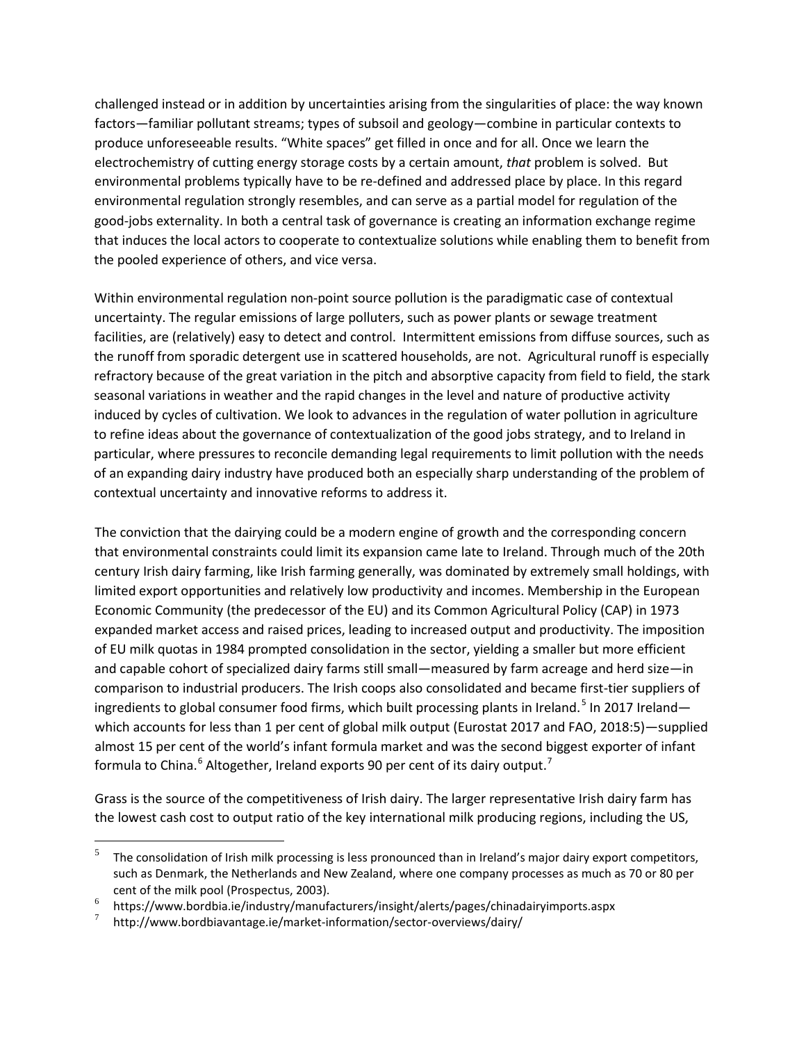challenged instead or in addition by uncertainties arising from the singularities of place: the way known factors—familiar pollutant streams; types of subsoil and geology—combine in particular contexts to produce unforeseeable results. "White spaces" get filled in once and for all. Once we learn the electrochemistry of cutting energy storage costs by a certain amount, *that* problem is solved. But environmental problems typically have to be re-defined and addressed place by place. In this regard environmental regulation strongly resembles, and can serve as a partial model for regulation of the good-jobs externality. In both a central task of governance is creating an information exchange regime that induces the local actors to cooperate to contextualize solutions while enabling them to benefit from the pooled experience of others, and vice versa.

Within environmental regulation non-point source pollution is the paradigmatic case of contextual uncertainty. The regular emissions of large polluters, such as power plants or sewage treatment facilities, are (relatively) easy to detect and control. Intermittent emissions from diffuse sources, such as the runoff from sporadic detergent use in scattered households, are not. Agricultural runoff is especially refractory because of the great variation in the pitch and absorptive capacity from field to field, the stark seasonal variations in weather and the rapid changes in the level and nature of productive activity induced by cycles of cultivation. We look to advances in the regulation of water pollution in agriculture to refine ideas about the governance of contextualization of the good jobs strategy, and to Ireland in particular, where pressures to reconcile demanding legal requirements to limit pollution with the needs of an expanding dairy industry have produced both an especially sharp understanding of the problem of contextual uncertainty and innovative reforms to address it.

The conviction that the dairying could be a modern engine of growth and the corresponding concern that environmental constraints could limit its expansion came late to Ireland. Through much of the 20th century Irish dairy farming, like Irish farming generally, was dominated by extremely small holdings, with limited export opportunities and relatively low productivity and incomes. Membership in the European Economic Community (the predecessor of the EU) and its Common Agricultural Policy (CAP) in 1973 expanded market access and raised prices, leading to increased output and productivity. The imposition of EU milk quotas in 1984 prompted consolidation in the sector, yielding a smaller but more efficient and capable cohort of specialized dairy farms still small—measured by farm acreage and herd size—in comparison to industrial producers. The Irish coops also consolidated and became first-tier suppliers of ingredients to global consumer food firms, which built processing plants in Ireland.<sup>[5](#page-14-0)</sup> In 2017 Ireland which accounts for less than 1 per cent of global milk output (Eurostat 2017 and FAO, 2018:5)—supplied almost 15 per cent of the world's infant formula market and was the second biggest exporter of infant formula to China. $^6$  $^6$  Altogether, Ireland exports 90 per cent of its dairy output.<sup>[7](#page-14-2)</sup>

Grass is the source of the competitiveness of Irish dairy. The larger representative Irish dairy farm has the lowest cash cost to output ratio of the key international milk producing regions, including the US,

<span id="page-14-0"></span> $5$  The consolidation of Irish milk processing is less pronounced than in Ireland's major dairy export competitors, such as Denmark, the Netherlands and New Zealand, where one company processes as much as 70 or 80 per cent of the milk pool (Prospectus, 2003).

<span id="page-14-1"></span> $6$  https://www.bordbia.ie/industry/manufacturers/insight/alerts/pages/chinadairyimports.aspx

<span id="page-14-2"></span><sup>7</sup> http://www.bordbiavantage.ie/market-information/sector-overviews/dairy/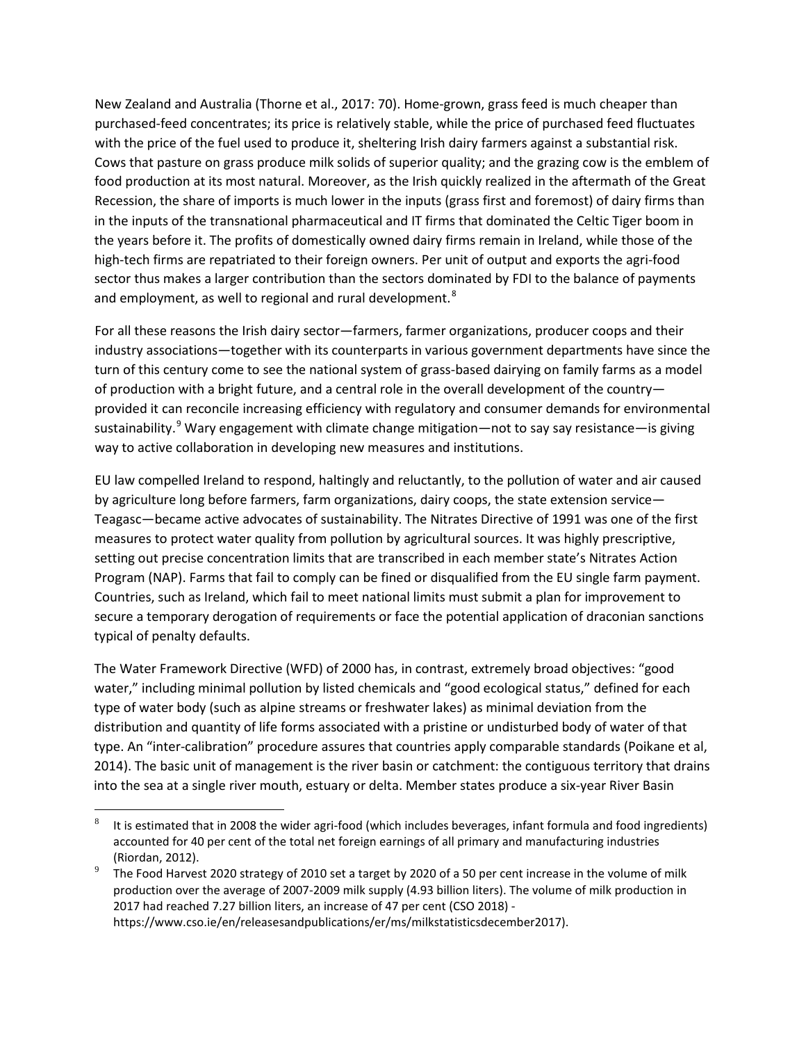New Zealand and Australia (Thorne et al., 2017: 70). Home-grown, grass feed is much cheaper than purchased-feed concentrates; its price is relatively stable, while the price of purchased feed fluctuates with the price of the fuel used to produce it, sheltering Irish dairy farmers against a substantial risk. Cows that pasture on grass produce milk solids of superior quality; and the grazing cow is the emblem of food production at its most natural. Moreover, as the Irish quickly realized in the aftermath of the Great Recession, the share of imports is much lower in the inputs (grass first and foremost) of dairy firms than in the inputs of the transnational pharmaceutical and IT firms that dominated the Celtic Tiger boom in the years before it. The profits of domestically owned dairy firms remain in Ireland, while those of the high-tech firms are repatriated to their foreign owners. Per unit of output and exports the agri-food sector thus makes a larger contribution than the sectors dominated by FDI to the balance of payments and employment, as well to regional and rural development. $8$ 

For all these reasons the Irish dairy sector—farmers, farmer organizations, producer coops and their industry associations—together with its counterparts in various government departments have since the turn of this century come to see the national system of grass-based dairying on family farms as a model of production with a bright future, and a central role in the overall development of the country provided it can reconcile increasing efficiency with regulatory and consumer demands for environmental sustainability.<sup>[9](#page-15-1)</sup> Wary engagement with climate change mitigation—not to say say resistance—is giving way to active collaboration in developing new measures and institutions.

EU law compelled Ireland to respond, haltingly and reluctantly, to the pollution of water and air caused by agriculture long before farmers, farm organizations, dairy coops, the state extension service— Teagasc—became active advocates of sustainability. The Nitrates Directive of 1991 was one of the first measures to protect water quality from pollution by agricultural sources. It was highly prescriptive, setting out precise concentration limits that are transcribed in each member state's Nitrates Action Program (NAP). Farms that fail to comply can be fined or disqualified from the EU single farm payment. Countries, such as Ireland, which fail to meet national limits must submit a plan for improvement to secure a temporary derogation of requirements or face the potential application of draconian sanctions typical of penalty defaults.

The Water Framework Directive (WFD) of 2000 has, in contrast, extremely broad objectives: "good water," including minimal pollution by listed chemicals and "good ecological status," defined for each type of water body (such as alpine streams or freshwater lakes) as minimal deviation from the distribution and quantity of life forms associated with a pristine or undisturbed body of water of that type. An "inter-calibration" procedure assures that countries apply comparable standards (Poikane et al, 2014). The basic unit of management is the river basin or catchment: the contiguous territory that drains into the sea at a single river mouth, estuary or delta. Member states produce a six-year River Basin

<span id="page-15-0"></span>It is estimated that in 2008 the wider agri-food (which includes beverages, infant formula and food ingredients) accounted for 40 per cent of the total net foreign earnings of all primary and manufacturing industries (Riordan, 2012).

<span id="page-15-1"></span>The Food Harvest 2020 strategy of 2010 set a target by 2020 of a 50 per cent increase in the volume of milk production over the average of 2007-2009 milk supply (4.93 billion liters). The volume of milk production in 2017 had reached 7.27 billion liters, an increase of 47 per cent (CSO 2018) https://www.cso.ie/en/releasesandpublications/er/ms/milkstatisticsdecember2017).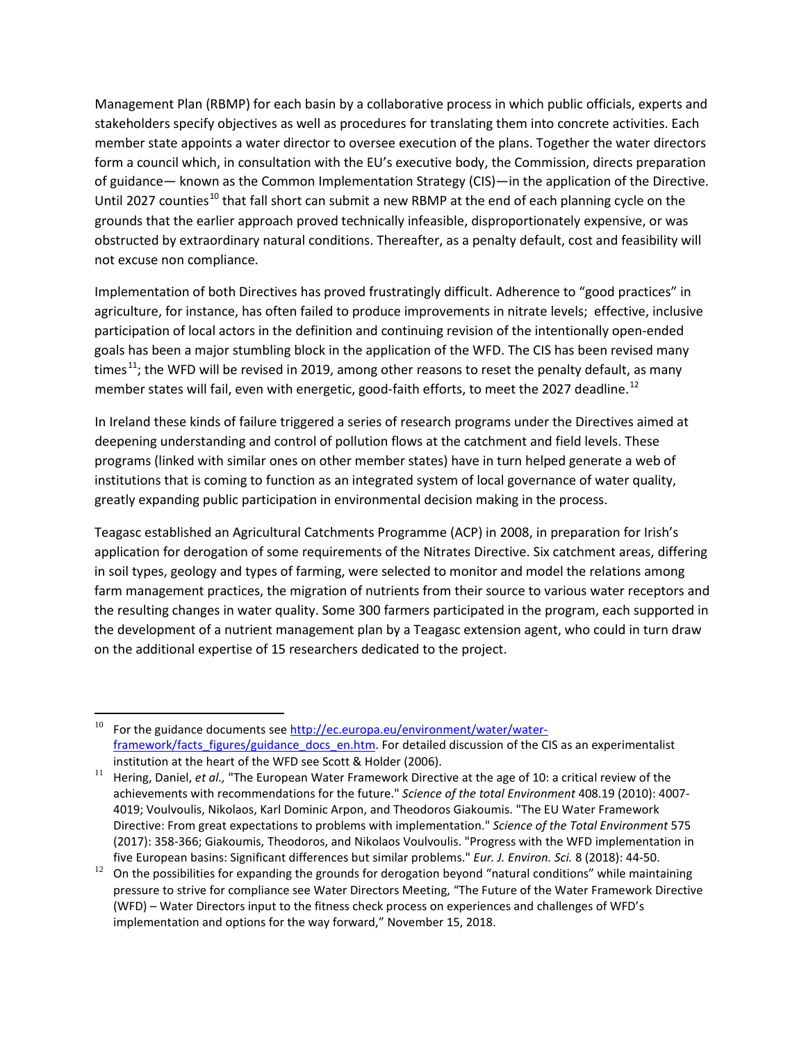Management Plan (RBMP) for each basin by a collaborative process in which public officials, experts and stakeholders specify objectives as well as procedures for translating them into concrete activities. Each member state appoints a water director to oversee execution of the plans. Together the water directors form a council which, in consultation with the EU's executive body, the Commission, directs preparation of guidance— known as the Common Implementation Strategy (CIS)—in the application of the Directive. Until 2027 counties<sup>[10](#page-16-0)</sup> that fall short can submit a new RBMP at the end of each planning cycle on the grounds that the earlier approach proved technically infeasible, disproportionately expensive, or was obstructed by extraordinary natural conditions. Thereafter, as a penalty default, cost and feasibility will not excuse non compliance.

Implementation of both Directives has proved frustratingly difficult. Adherence to "good practices" in agriculture, for instance, has often failed to produce improvements in nitrate levels; effective, inclusive participation of local actors in the definition and continuing revision of the intentionally open-ended goals has been a major stumbling block in the application of the WFD. The CIS has been revised many times<sup>[11](#page-16-1)</sup>; the WFD will be revised in 2019, among other reasons to reset the penalty default, as many member states will fail, even with energetic, good-faith efforts, to meet the 2027 deadline.<sup>[12](#page-16-2)</sup>

In Ireland these kinds of failure triggered a series of research programs under the Directives aimed at deepening understanding and control of pollution flows at the catchment and field levels. These programs (linked with similar ones on other member states) have in turn helped generate a web of institutions that is coming to function as an integrated system of local governance of water quality, greatly expanding public participation in environmental decision making in the process.

Teagasc established an Agricultural Catchments Programme (ACP) in 2008, in preparation for Irish's application for derogation of some requirements of the Nitrates Directive. Six catchment areas, differing in soil types, geology and types of farming, were selected to monitor and model the relations among farm management practices, the migration of nutrients from their source to various water receptors and the resulting changes in water quality. Some 300 farmers participated in the program, each supported in the development of a nutrient management plan by a Teagasc extension agent, who could in turn draw on the additional expertise of 15 researchers dedicated to the project.

<span id="page-16-0"></span> $10$  For the guidance documents see [http://ec.europa.eu/environment/water/water](http://ec.europa.eu/environment/water/water-framework/facts_figures/guidance_docs_en.htm)[framework/facts\\_figures/guidance\\_docs\\_en.htm.](http://ec.europa.eu/environment/water/water-framework/facts_figures/guidance_docs_en.htm) For detailed discussion of the CIS as an experimentalist institution at the heart of the WFD see Scott & Holder (2006).

<span id="page-16-1"></span><sup>11</sup> Hering, Daniel, *et al.,* "The European Water Framework Directive at the age of 10: a critical review of the achievements with recommendations for the future." *Science of the total Environment* 408.19 (2010): 4007- 4019; Voulvoulis, Nikolaos, Karl Dominic Arpon, and Theodoros Giakoumis. "The EU Water Framework Directive: From great expectations to problems with implementation." *Science of the Total Environment* 575 (2017): 358-366; Giakoumis, Theodoros, and Nikolaos Voulvoulis. "Progress with the WFD implementation in five European basins: Significant differences but similar problems." *Eur. J. Environ. Sci.* 8 (2018): 44-50.

<span id="page-16-2"></span> $12$  On the possibilities for expanding the grounds for derogation beyond "natural conditions" while maintaining pressure to strive for compliance see Water Directors Meeting, "The Future of the Water Framework Directive (WFD) – Water Directors input to the fitness check process on experiences and challenges of WFD's implementation and options for the way forward," November 15, 2018.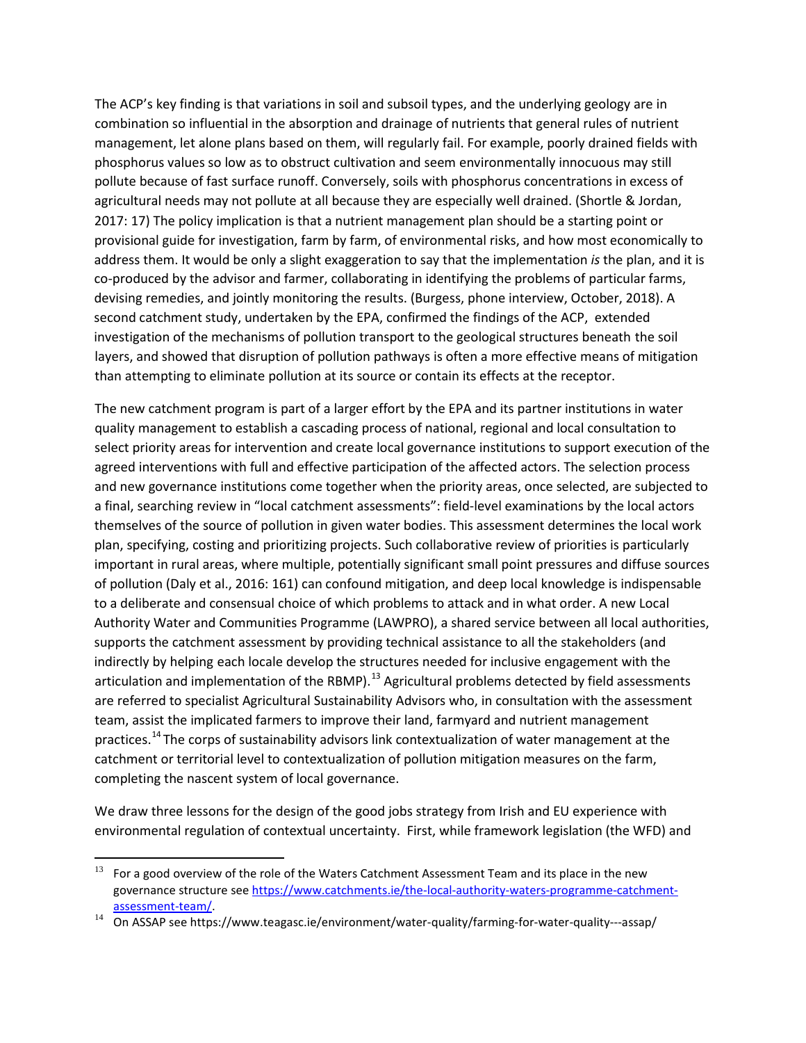The ACP's key finding is that variations in soil and subsoil types, and the underlying geology are in combination so influential in the absorption and drainage of nutrients that general rules of nutrient management, let alone plans based on them, will regularly fail. For example, poorly drained fields with phosphorus values so low as to obstruct cultivation and seem environmentally innocuous may still pollute because of fast surface runoff. Conversely, soils with phosphorus concentrations in excess of agricultural needs may not pollute at all because they are especially well drained. (Shortle & Jordan, 2017: 17) The policy implication is that a nutrient management plan should be a starting point or provisional guide for investigation, farm by farm, of environmental risks, and how most economically to address them. It would be only a slight exaggeration to say that the implementation *is* the plan, and it is co-produced by the advisor and farmer, collaborating in identifying the problems of particular farms, devising remedies, and jointly monitoring the results. (Burgess, phone interview, October, 2018). A second catchment study, undertaken by the EPA, confirmed the findings of the ACP, extended investigation of the mechanisms of pollution transport to the geological structures beneath the soil layers, and showed that disruption of pollution pathways is often a more effective means of mitigation than attempting to eliminate pollution at its source or contain its effects at the receptor.

The new catchment program is part of a larger effort by the EPA and its partner institutions in water quality management to establish a cascading process of national, regional and local consultation to select priority areas for intervention and create local governance institutions to support execution of the agreed interventions with full and effective participation of the affected actors. The selection process and new governance institutions come together when the priority areas, once selected, are subjected to a final, searching review in "local catchment assessments": field-level examinations by the local actors themselves of the source of pollution in given water bodies. This assessment determines the local work plan, specifying, costing and prioritizing projects. Such collaborative review of priorities is particularly important in rural areas, where multiple, potentially significant small point pressures and diffuse sources of pollution (Daly et al., 2016: 161) can confound mitigation, and deep local knowledge is indispensable to a deliberate and consensual choice of which problems to attack and in what order. A new Local Authority Water and Communities Programme (LAWPRO), a shared service between all local authorities, supports the catchment assessment by providing technical assistance to all the stakeholders (and indirectly by helping each locale develop the structures needed for inclusive engagement with the articulation and implementation of the RBMP).<sup>[13](#page-17-0)</sup> Agricultural problems detected by field assessments are referred to specialist Agricultural Sustainability Advisors who, in consultation with the assessment team, assist the implicated farmers to improve their land, farmyard and nutrient management practices.<sup>[14](#page-17-1)</sup> The corps of sustainability advisors link contextualization of water management at the catchment or territorial level to contextualization of pollution mitigation measures on the farm, completing the nascent system of local governance.

We draw three lessons for the design of the good jobs strategy from Irish and EU experience with environmental regulation of contextual uncertainty. First, while framework legislation (the WFD) and

<span id="page-17-0"></span> $13$  For a good overview of the role of the Waters Catchment Assessment Team and its place in the new governance structure see [https://www.catchments.ie/the-local-authority-waters-programme-catchment](https://www.catchments.ie/the-local-authority-waters-programme-catchment-assessment-team/)[assessment-team/.](https://www.catchments.ie/the-local-authority-waters-programme-catchment-assessment-team/)

<span id="page-17-1"></span><sup>14</sup> On ASSAP see https://www.teagasc.ie/environment/water-quality/farming-for-water-quality---assap/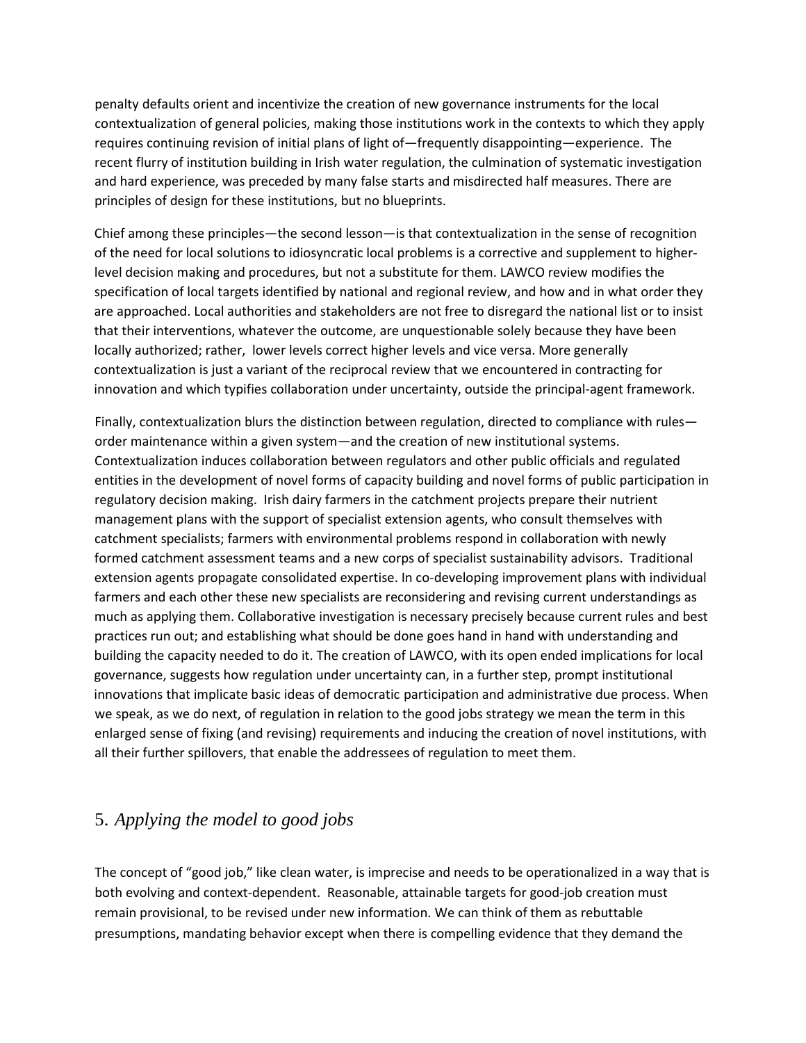penalty defaults orient and incentivize the creation of new governance instruments for the local contextualization of general policies, making those institutions work in the contexts to which they apply requires continuing revision of initial plans of light of—frequently disappointing—experience. The recent flurry of institution building in Irish water regulation, the culmination of systematic investigation and hard experience, was preceded by many false starts and misdirected half measures. There are principles of design for these institutions, but no blueprints.

Chief among these principles—the second lesson—is that contextualization in the sense of recognition of the need for local solutions to idiosyncratic local problems is a corrective and supplement to higherlevel decision making and procedures, but not a substitute for them. LAWCO review modifies the specification of local targets identified by national and regional review, and how and in what order they are approached. Local authorities and stakeholders are not free to disregard the national list or to insist that their interventions, whatever the outcome, are unquestionable solely because they have been locally authorized; rather, lower levels correct higher levels and vice versa. More generally contextualization is just a variant of the reciprocal review that we encountered in contracting for innovation and which typifies collaboration under uncertainty, outside the principal-agent framework.

Finally, contextualization blurs the distinction between regulation, directed to compliance with rules order maintenance within a given system—and the creation of new institutional systems. Contextualization induces collaboration between regulators and other public officials and regulated entities in the development of novel forms of capacity building and novel forms of public participation in regulatory decision making. Irish dairy farmers in the catchment projects prepare their nutrient management plans with the support of specialist extension agents, who consult themselves with catchment specialists; farmers with environmental problems respond in collaboration with newly formed catchment assessment teams and a new corps of specialist sustainability advisors. Traditional extension agents propagate consolidated expertise. In co-developing improvement plans with individual farmers and each other these new specialists are reconsidering and revising current understandings as much as applying them. Collaborative investigation is necessary precisely because current rules and best practices run out; and establishing what should be done goes hand in hand with understanding and building the capacity needed to do it. The creation of LAWCO, with its open ended implications for local governance, suggests how regulation under uncertainty can, in a further step, prompt institutional innovations that implicate basic ideas of democratic participation and administrative due process. When we speak, as we do next, of regulation in relation to the good jobs strategy we mean the term in this enlarged sense of fixing (and revising) requirements and inducing the creation of novel institutions, with all their further spillovers, that enable the addressees of regulation to meet them.

# 5. *Applying the model to good jobs*

The concept of "good job," like clean water, is imprecise and needs to be operationalized in a way that is both evolving and context-dependent. Reasonable, attainable targets for good-job creation must remain provisional, to be revised under new information. We can think of them as rebuttable presumptions, mandating behavior except when there is compelling evidence that they demand the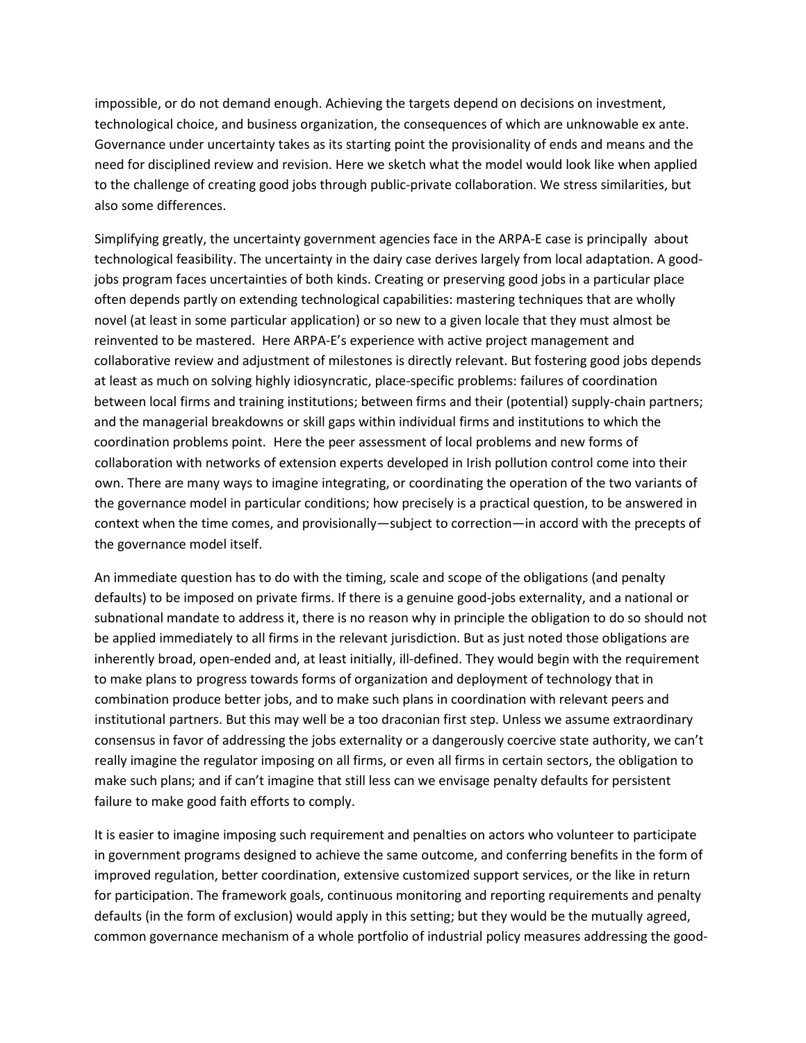impossible, or do not demand enough. Achieving the targets depend on decisions on investment, technological choice, and business organization, the consequences of which are unknowable ex ante. Governance under uncertainty takes as its starting point the provisionality of ends and means and the need for disciplined review and revision. Here we sketch what the model would look like when applied to the challenge of creating good jobs through public-private collaboration. We stress similarities, but also some differences.

Simplifying greatly, the uncertainty government agencies face in the ARPA-E case is principally about technological feasibility. The uncertainty in the dairy case derives largely from local adaptation. A goodjobs program faces uncertainties of both kinds. Creating or preserving good jobs in a particular place often depends partly on extending technological capabilities: mastering techniques that are wholly novel (at least in some particular application) or so new to a given locale that they must almost be reinvented to be mastered. Here ARPA-E's experience with active project management and collaborative review and adjustment of milestones is directly relevant. But fostering good jobs depends at least as much on solving highly idiosyncratic, place-specific problems: failures of coordination between local firms and training institutions; between firms and their (potential) supply-chain partners; and the managerial breakdowns or skill gaps within individual firms and institutions to which the coordination problems point. Here the peer assessment of local problems and new forms of collaboration with networks of extension experts developed in Irish pollution control come into their own. There are many ways to imagine integrating, or coordinating the operation of the two variants of the governance model in particular conditions; how precisely is a practical question, to be answered in context when the time comes, and provisionally—subject to correction—in accord with the precepts of the governance model itself.

An immediate question has to do with the timing, scale and scope of the obligations (and penalty defaults) to be imposed on private firms. If there is a genuine good-jobs externality, and a national or subnational mandate to address it, there is no reason why in principle the obligation to do so should not be applied immediately to all firms in the relevant jurisdiction. But as just noted those obligations are inherently broad, open-ended and, at least initially, ill-defined. They would begin with the requirement to make plans to progress towards forms of organization and deployment of technology that in combination produce better jobs, and to make such plans in coordination with relevant peers and institutional partners. But this may well be a too draconian first step. Unless we assume extraordinary consensus in favor of addressing the jobs externality or a dangerously coercive state authority, we can't really imagine the regulator imposing on all firms, or even all firms in certain sectors, the obligation to make such plans; and if can't imagine that still less can we envisage penalty defaults for persistent failure to make good faith efforts to comply.

It is easier to imagine imposing such requirement and penalties on actors who volunteer to participate in government programs designed to achieve the same outcome, and conferring benefits in the form of improved regulation, better coordination, extensive customized support services, or the like in return for participation. The framework goals, continuous monitoring and reporting requirements and penalty defaults (in the form of exclusion) would apply in this setting; but they would be the mutually agreed, common governance mechanism of a whole portfolio of industrial policy measures addressing the good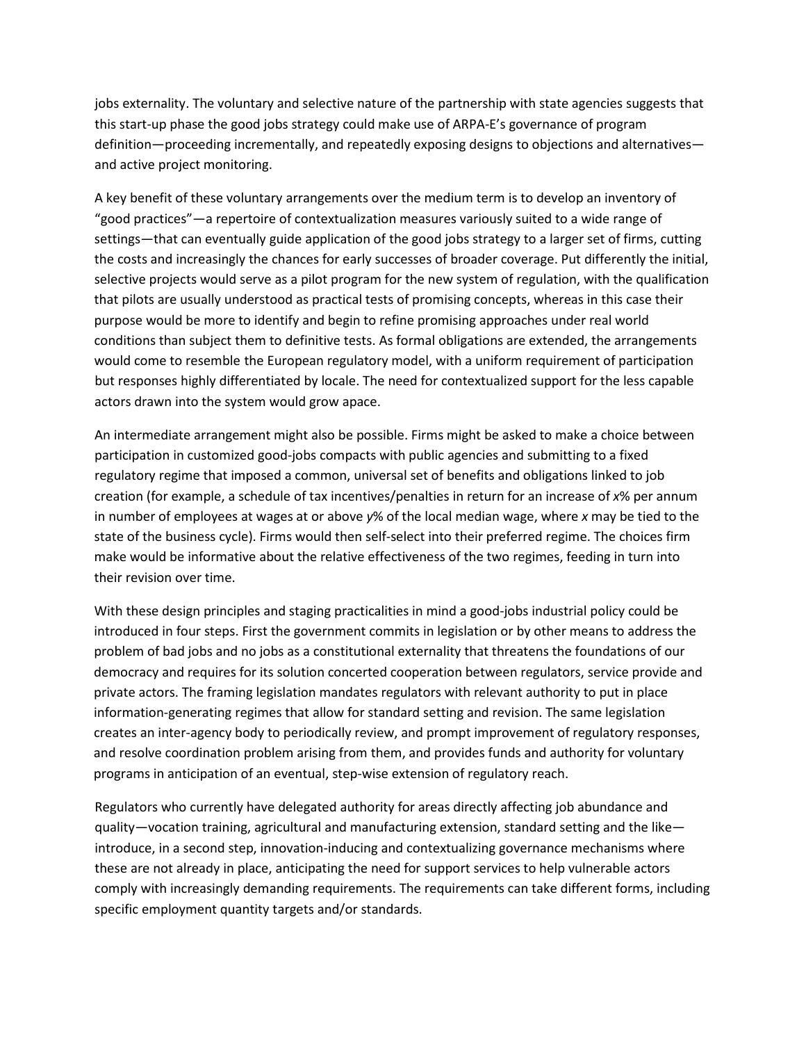jobs externality. The voluntary and selective nature of the partnership with state agencies suggests that this start-up phase the good jobs strategy could make use of ARPA-E's governance of program definition—proceeding incrementally, and repeatedly exposing designs to objections and alternatives and active project monitoring.

A key benefit of these voluntary arrangements over the medium term is to develop an inventory of "good practices"—a repertoire of contextualization measures variously suited to a wide range of settings—that can eventually guide application of the good jobs strategy to a larger set of firms, cutting the costs and increasingly the chances for early successes of broader coverage. Put differently the initial, selective projects would serve as a pilot program for the new system of regulation, with the qualification that pilots are usually understood as practical tests of promising concepts, whereas in this case their purpose would be more to identify and begin to refine promising approaches under real world conditions than subject them to definitive tests. As formal obligations are extended, the arrangements would come to resemble the European regulatory model, with a uniform requirement of participation but responses highly differentiated by locale. The need for contextualized support for the less capable actors drawn into the system would grow apace.

An intermediate arrangement might also be possible. Firms might be asked to make a choice between participation in customized good-jobs compacts with public agencies and submitting to a fixed regulatory regime that imposed a common, universal set of benefits and obligations linked to job creation (for example, a schedule of tax incentives/penalties in return for an increase of *x*% per annum in number of employees at wages at or above *y*% of the local median wage, where *x* may be tied to the state of the business cycle). Firms would then self-select into their preferred regime. The choices firm make would be informative about the relative effectiveness of the two regimes, feeding in turn into their revision over time.

With these design principles and staging practicalities in mind a good-jobs industrial policy could be introduced in four steps. First the government commits in legislation or by other means to address the problem of bad jobs and no jobs as a constitutional externality that threatens the foundations of our democracy and requires for its solution concerted cooperation between regulators, service provide and private actors. The framing legislation mandates regulators with relevant authority to put in place information-generating regimes that allow for standard setting and revision. The same legislation creates an inter-agency body to periodically review, and prompt improvement of regulatory responses, and resolve coordination problem arising from them, and provides funds and authority for voluntary programs in anticipation of an eventual, step-wise extension of regulatory reach.

Regulators who currently have delegated authority for areas directly affecting job abundance and quality—vocation training, agricultural and manufacturing extension, standard setting and the like introduce, in a second step, innovation-inducing and contextualizing governance mechanisms where these are not already in place, anticipating the need for support services to help vulnerable actors comply with increasingly demanding requirements. The requirements can take different forms, including specific employment quantity targets and/or standards.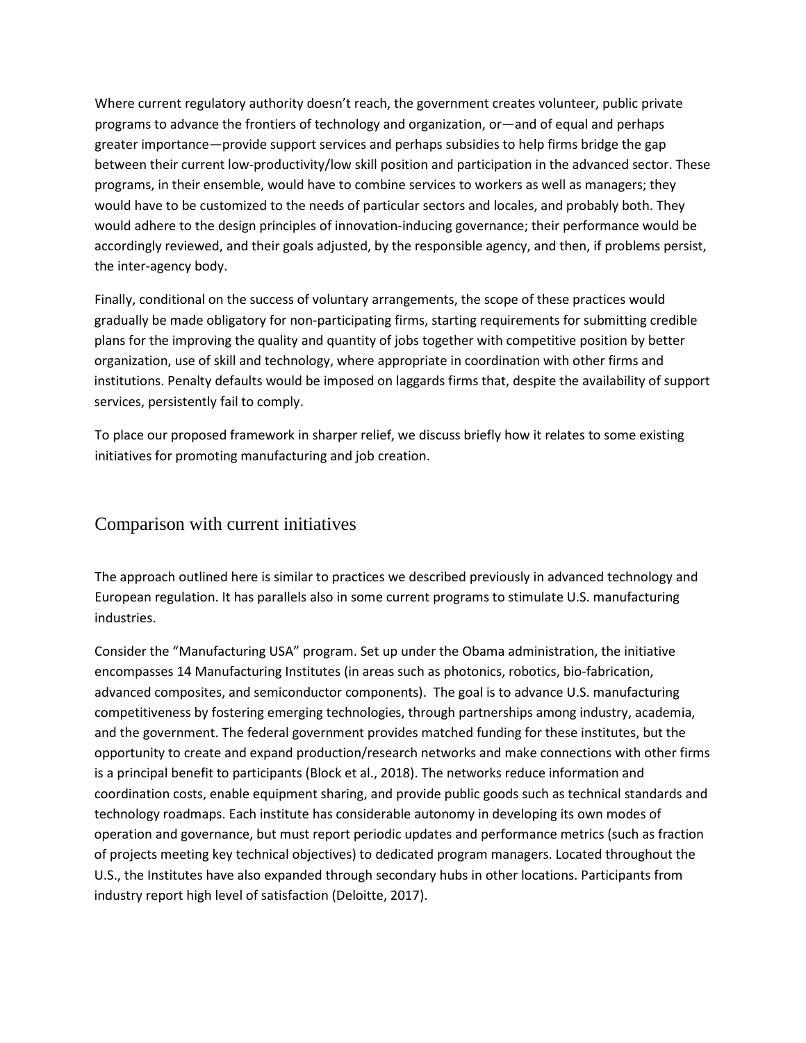Where current regulatory authority doesn't reach, the government creates volunteer, public private programs to advance the frontiers of technology and organization, or—and of equal and perhaps greater importance—provide support services and perhaps subsidies to help firms bridge the gap between their current low-productivity/low skill position and participation in the advanced sector. These programs, in their ensemble, would have to combine services to workers as well as managers; they would have to be customized to the needs of particular sectors and locales, and probably both. They would adhere to the design principles of innovation-inducing governance; their performance would be accordingly reviewed, and their goals adjusted, by the responsible agency, and then, if problems persist, the inter-agency body.

Finally, conditional on the success of voluntary arrangements, the scope of these practices would gradually be made obligatory for non-participating firms, starting requirements for submitting credible plans for the improving the quality and quantity of jobs together with competitive position by better organization, use of skill and technology, where appropriate in coordination with other firms and institutions. Penalty defaults would be imposed on laggards firms that, despite the availability of support services, persistently fail to comply.

To place our proposed framework in sharper relief, we discuss briefly how it relates to some existing initiatives for promoting manufacturing and job creation.

## Comparison with current initiatives

The approach outlined here is similar to practices we described previously in advanced technology and European regulation. It has parallels also in some current programs to stimulate U.S. manufacturing industries.

Consider the "Manufacturing USA" program. Set up under the Obama administration, the initiative encompasses 14 Manufacturing Institutes (in areas such as photonics, robotics, bio-fabrication, advanced composites, and semiconductor components). The goal is to advance U.S. manufacturing competitiveness by fostering emerging technologies, through partnerships among industry, academia, and the government. The federal government provides matched funding for these institutes, but the opportunity to create and expand production/research networks and make connections with other firms is a principal benefit to participants (Block et al., 2018). The networks reduce information and coordination costs, enable equipment sharing, and provide public goods such as technical standards and technology roadmaps. Each institute has considerable autonomy in developing its own modes of operation and governance, but must report periodic updates and performance metrics (such as fraction of projects meeting key technical objectives) to dedicated program managers. Located throughout the U.S., the Institutes have also expanded through secondary hubs in other locations. Participants from industry report high level of satisfaction (Deloitte, 2017).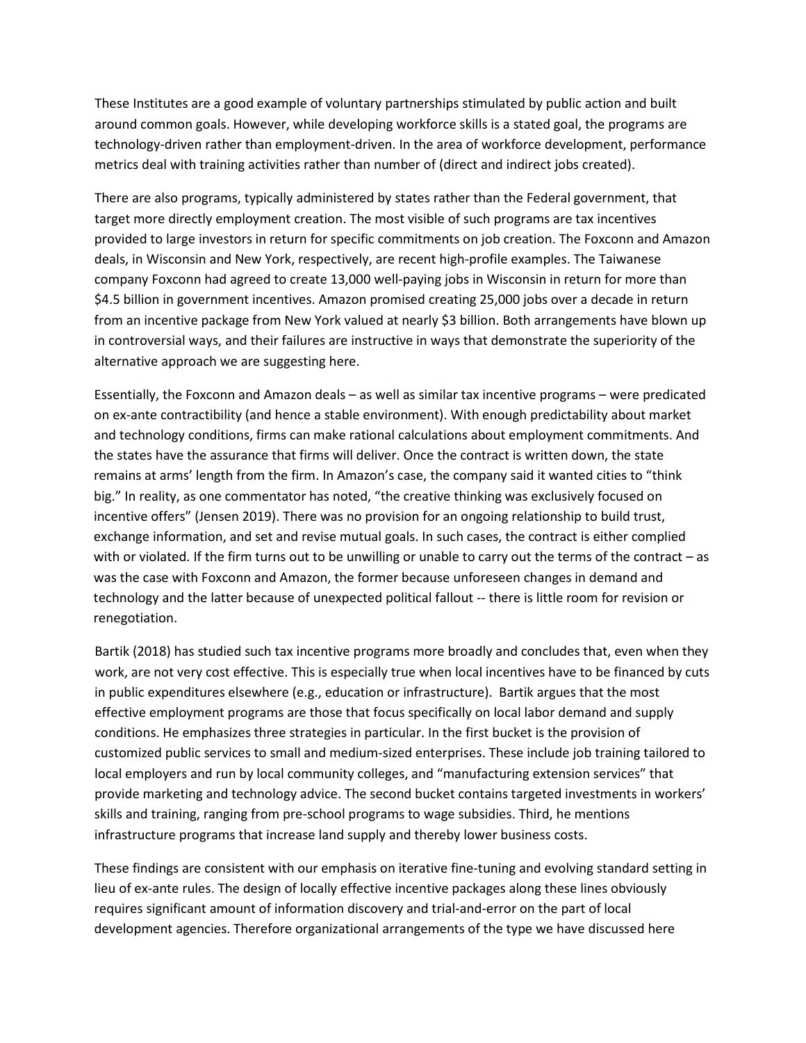These Institutes are a good example of voluntary partnerships stimulated by public action and built around common goals. However, while developing workforce skills is a stated goal, the programs are technology-driven rather than employment-driven. In the area of workforce development, performance metrics deal with training activities rather than number of (direct and indirect jobs created).

There are also programs, typically administered by states rather than the Federal government, that target more directly employment creation. The most visible of such programs are tax incentives provided to large investors in return for specific commitments on job creation. The Foxconn and Amazon deals, in Wisconsin and New York, respectively, are recent high-profile examples. The Taiwanese company Foxconn had agreed to create 13,000 well-paying jobs in Wisconsin in return for more than \$4.5 billion in government incentives. Amazon promised creating 25,000 jobs over a decade in return from an incentive package from New York valued at nearly \$3 billion. Both arrangements have blown up in controversial ways, and their failures are instructive in ways that demonstrate the superiority of the alternative approach we are suggesting here.

Essentially, the Foxconn and Amazon deals – as well as similar tax incentive programs – were predicated on ex-ante contractibility (and hence a stable environment). With enough predictability about market and technology conditions, firms can make rational calculations about employment commitments. And the states have the assurance that firms will deliver. Once the contract is written down, the state remains at arms' length from the firm. In Amazon's case, the company said it wanted cities to "think big." In reality, as one commentator has noted, "the creative thinking was exclusively focused on incentive offers" (Jensen 2019). There was no provision for an ongoing relationship to build trust, exchange information, and set and revise mutual goals. In such cases, the contract is either complied with or violated. If the firm turns out to be unwilling or unable to carry out the terms of the contract – as was the case with Foxconn and Amazon, the former because unforeseen changes in demand and technology and the latter because of unexpected political fallout -- there is little room for revision or renegotiation.

Bartik (2018) has studied such tax incentive programs more broadly and concludes that, even when they work, are not very cost effective. This is especially true when local incentives have to be financed by cuts in public expenditures elsewhere (e.g., education or infrastructure). Bartik argues that the most effective employment programs are those that focus specifically on local labor demand and supply conditions. He emphasizes three strategies in particular. In the first bucket is the provision of customized public services to small and medium-sized enterprises. These include job training tailored to local employers and run by local community colleges, and "manufacturing extension services" that provide marketing and technology advice. The second bucket contains targeted investments in workers' skills and training, ranging from pre-school programs to wage subsidies. Third, he mentions infrastructure programs that increase land supply and thereby lower business costs.

These findings are consistent with our emphasis on iterative fine-tuning and evolving standard setting in lieu of ex-ante rules. The design of locally effective incentive packages along these lines obviously requires significant amount of information discovery and trial-and-error on the part of local development agencies. Therefore organizational arrangements of the type we have discussed here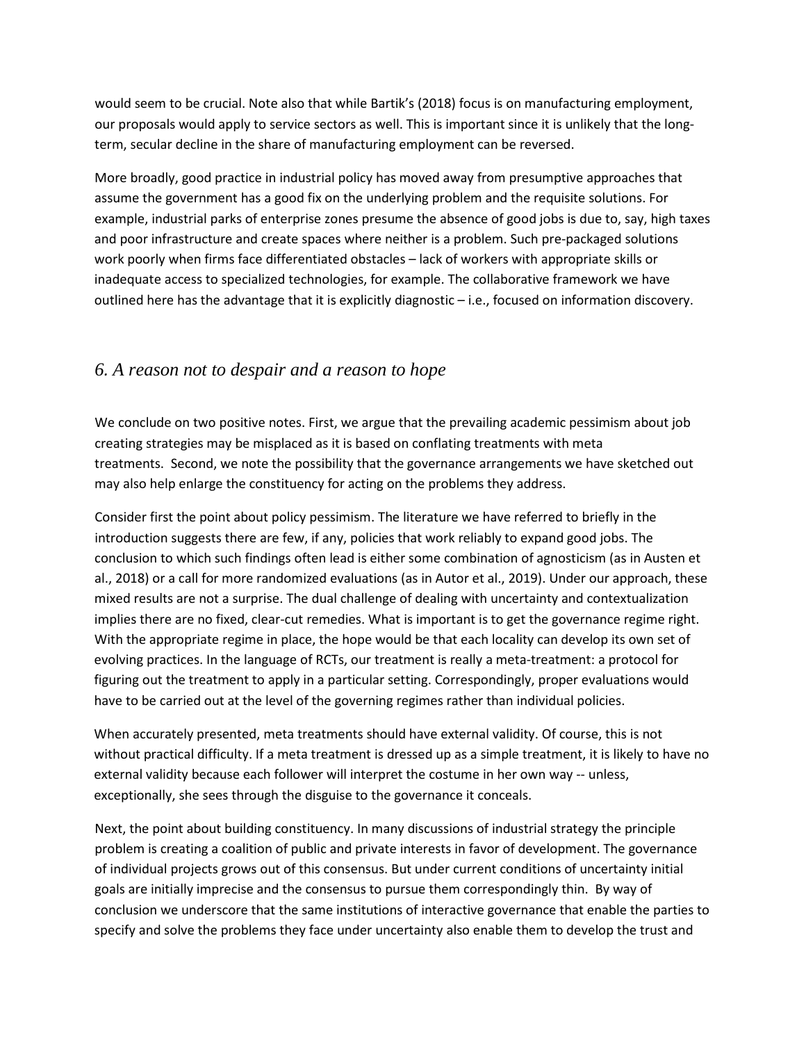would seem to be crucial. Note also that while Bartik's (2018) focus is on manufacturing employment, our proposals would apply to service sectors as well. This is important since it is unlikely that the longterm, secular decline in the share of manufacturing employment can be reversed.

More broadly, good practice in industrial policy has moved away from presumptive approaches that assume the government has a good fix on the underlying problem and the requisite solutions. For example, industrial parks of enterprise zones presume the absence of good jobs is due to, say, high taxes and poor infrastructure and create spaces where neither is a problem. Such pre-packaged solutions work poorly when firms face differentiated obstacles – lack of workers with appropriate skills or inadequate access to specialized technologies, for example. The collaborative framework we have outlined here has the advantage that it is explicitly diagnostic – i.e., focused on information discovery.

## *6. A reason not to despair and a reason to hope*

We conclude on two positive notes. First, we argue that the prevailing academic pessimism about job creating strategies may be misplaced as it is based on conflating treatments with meta treatments. Second, we note the possibility that the governance arrangements we have sketched out may also help enlarge the constituency for acting on the problems they address.

Consider first the point about policy pessimism. The literature we have referred to briefly in the introduction suggests there are few, if any, policies that work reliably to expand good jobs. The conclusion to which such findings often lead is either some combination of agnosticism (as in Austen et al., 2018) or a call for more randomized evaluations (as in Autor et al., 2019). Under our approach, these mixed results are not a surprise. The dual challenge of dealing with uncertainty and contextualization implies there are no fixed, clear-cut remedies. What is important is to get the governance regime right. With the appropriate regime in place, the hope would be that each locality can develop its own set of evolving practices. In the language of RCTs, our treatment is really a meta-treatment: a protocol for figuring out the treatment to apply in a particular setting. Correspondingly, proper evaluations would have to be carried out at the level of the governing regimes rather than individual policies.

When accurately presented, meta treatments should have external validity. Of course, this is not without practical difficulty. If a meta treatment is dressed up as a simple treatment, it is likely to have no external validity because each follower will interpret the costume in her own way -- unless, exceptionally, she sees through the disguise to the governance it conceals.

Next, the point about building constituency. In many discussions of industrial strategy the principle problem is creating a coalition of public and private interests in favor of development. The governance of individual projects grows out of this consensus. But under current conditions of uncertainty initial goals are initially imprecise and the consensus to pursue them correspondingly thin. By way of conclusion we underscore that the same institutions of interactive governance that enable the parties to specify and solve the problems they face under uncertainty also enable them to develop the trust and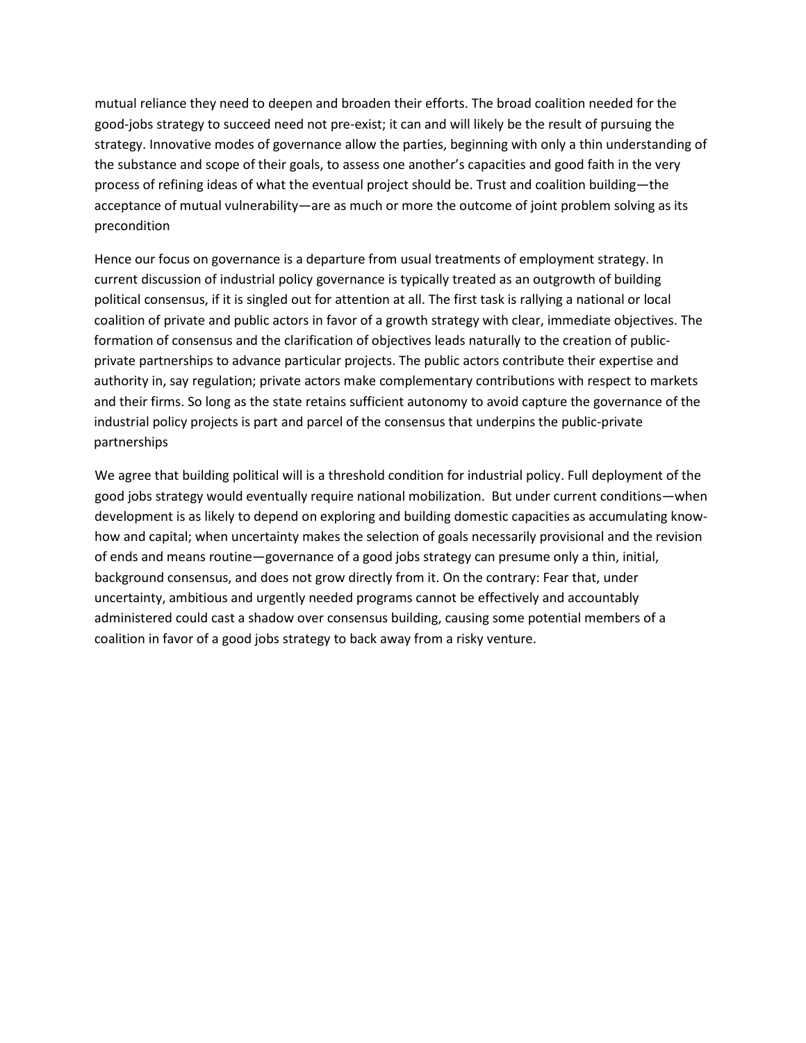mutual reliance they need to deepen and broaden their efforts. The broad coalition needed for the good-jobs strategy to succeed need not pre-exist; it can and will likely be the result of pursuing the strategy. Innovative modes of governance allow the parties, beginning with only a thin understanding of the substance and scope of their goals, to assess one another's capacities and good faith in the very process of refining ideas of what the eventual project should be. Trust and coalition building—the acceptance of mutual vulnerability—are as much or more the outcome of joint problem solving as its precondition

Hence our focus on governance is a departure from usual treatments of employment strategy. In current discussion of industrial policy governance is typically treated as an outgrowth of building political consensus, if it is singled out for attention at all. The first task is rallying a national or local coalition of private and public actors in favor of a growth strategy with clear, immediate objectives. The formation of consensus and the clarification of objectives leads naturally to the creation of publicprivate partnerships to advance particular projects. The public actors contribute their expertise and authority in, say regulation; private actors make complementary contributions with respect to markets and their firms. So long as the state retains sufficient autonomy to avoid capture the governance of the industrial policy projects is part and parcel of the consensus that underpins the public-private partnerships

We agree that building political will is a threshold condition for industrial policy. Full deployment of the good jobs strategy would eventually require national mobilization. But under current conditions—when development is as likely to depend on exploring and building domestic capacities as accumulating knowhow and capital; when uncertainty makes the selection of goals necessarily provisional and the revision of ends and means routine—governance of a good jobs strategy can presume only a thin, initial, background consensus, and does not grow directly from it. On the contrary: Fear that, under uncertainty, ambitious and urgently needed programs cannot be effectively and accountably administered could cast a shadow over consensus building, causing some potential members of a coalition in favor of a good jobs strategy to back away from a risky venture.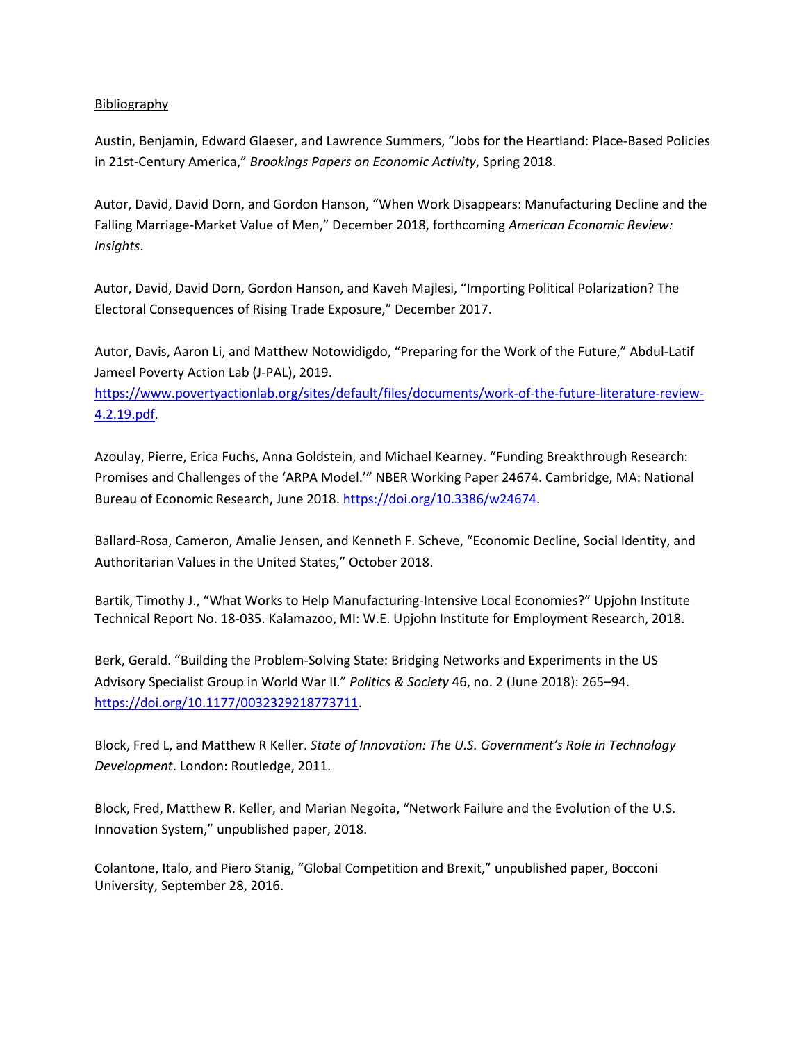#### **Bibliography**

4.2.19.pdf.

Austin, Benjamin, Edward Glaeser, and Lawrence Summers, "Jobs for the Heartland: Place-Based Policies in 21st-Century America," *Brookings Papers on Economic Activity*, Spring 2018.

Autor, David, David Dorn, and Gordon Hanson, "When Work Disappears: [Manufacturing](https://gps.ucsd.edu/_files/faculty/hanson/hanson_publication_marriage_value.pdf) Decline and the Falling [Marriage-Market](https://gps.ucsd.edu/_files/faculty/hanson/hanson_publication_marriage_value.pdf) Value of Men," December 2018, forthcoming *American Economic Review: Insights*.

Autor, David, David Dorn, Gordon Hanson, and Kaveh Majlesi, "Importing Political [Polarization?](https://gps.ucsd.edu/_files/faculty/hanson/importing_polarization.pdf) The Electoral [Consequences](https://gps.ucsd.edu/_files/faculty/hanson/importing_polarization.pdf) of Rising Trade Exposure," December 2017.

Autor, Davis, Aaron Li, and Matthew Notowidigdo, "Preparing for the Work of the Future," Abdul-Latif Jameel Poverty Action Lab (J-PAL), 2019. https://www.povertyactionlab.org/sites/default/files/documents/work-of-the-future-literature-review-

Azoulay, Pierre, Erica Fuchs, Anna Goldstein, and Michael Kearney. "Funding Breakthrough Research: Promises and Challenges of the 'ARPA Model.'" NBER Working Paper 24674. Cambridge, MA: National Bureau of Economic Research, June 2018. [https://doi.org/10.3386/w24674.](https://doi.org/10.3386/w24674)

Ballard-Rosa, Cameron, Amalie Jensen, and Kenneth F. Scheve, "Economic Decline, Social Identity, and Authoritarian Values in the United States," October 2018.

Bartik, Timothy J., "What Works to Help Manufacturing-Intensive Local Economies?" Upjohn Institute Technical Report No. 18-035. Kalamazoo, MI: W.E. Upjohn Institute for Employment Research, 2018.

Berk, Gerald. "Building the Problem-Solving State: Bridging Networks and Experiments in the US Advisory Specialist Group in World War II." *Politics & Society* 46, no. 2 (June 2018): 265–94. [https://doi.org/10.1177/0032329218773711.](https://doi.org/10.1177/0032329218773711)

Block, Fred L, and Matthew R Keller. *State of Innovation: The U.S. Government's Role in Technology Development*. London: Routledge, 2011.

Block, Fred, Matthew R. Keller, and Marian Negoita, "Network Failure and the Evolution of the U.S. Innovation System," unpublished paper, 2018.

Colantone, Italo, and Piero Stanig, "Global Competition and Brexit," unpublished paper, Bocconi University, September 28, 2016.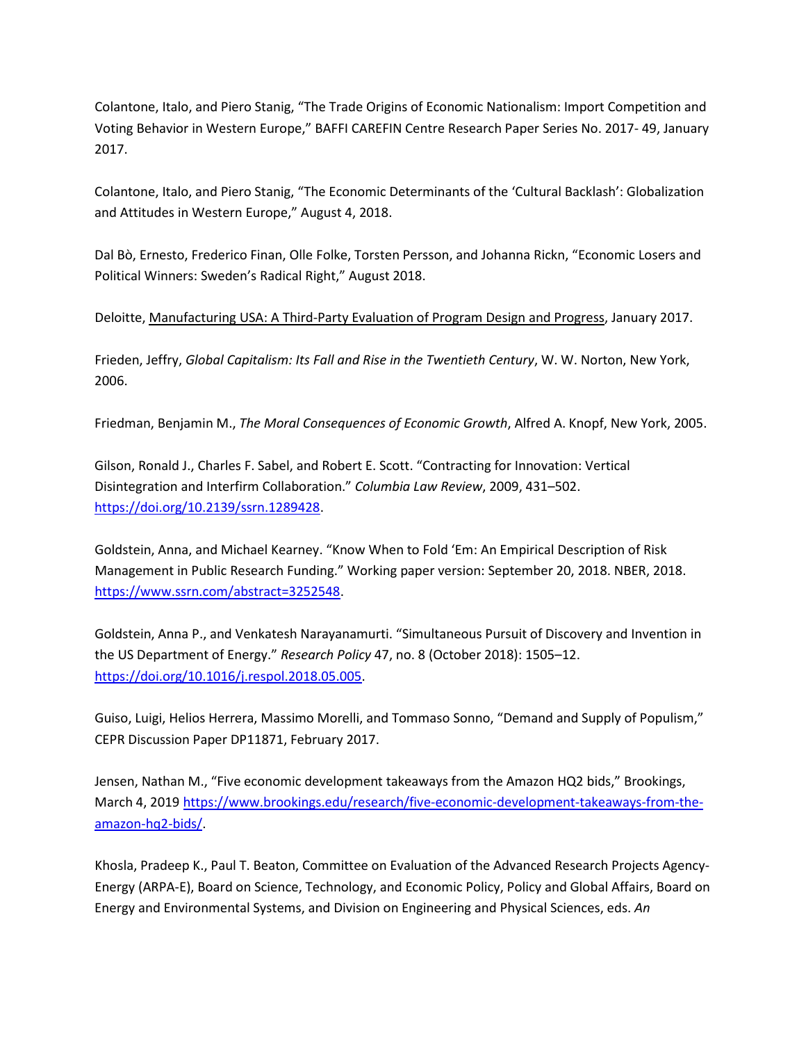Colantone, Italo, and Piero Stanig, "The Trade Origins of Economic Nationalism: Import Competition and Voting Behavior in Western Europe," BAFFI CAREFIN Centre Research Paper Series No. 2017- 49, January 2017.

Colantone, Italo, and Piero Stanig, "The Economic Determinants of the 'Cultural Backlash': Globalization and Attitudes in Western Europe," August 4, 2018.

Dal Bò, Ernesto, Frederico Finan, Olle Folke, Torsten Persson, and Johanna Rickn, "Economic Losers and Political Winners: Sweden's Radical Right," August 2018.

Deloitte, Manufacturing USA: A Third-Party Evaluation of Program Design and Progress, January 2017.

Frieden, Jeffry, *Global Capitalism: Its Fall and Rise in the Twentieth Century*, W. W. Norton, New York, 2006.

Friedman, Benjamin M., *The Moral Consequences of Economic Growth*, Alfred A. Knopf, New York, 2005.

Gilson, Ronald J., Charles F. Sabel, and Robert E. Scott. "Contracting for Innovation: Vertical Disintegration and Interfirm Collaboration." *Columbia Law Review*, 2009, 431–502. [https://doi.org/10.2139/ssrn.1289428.](https://doi.org/10.2139/ssrn.1289428)

Goldstein, Anna, and Michael Kearney. "Know When to Fold 'Em: An Empirical Description of Risk Management in Public Research Funding." Working paper version: September 20, 2018. NBER, 2018. [https://www.ssrn.com/abstract=3252548.](https://www.ssrn.com/abstract=3252548)

Goldstein, Anna P., and Venkatesh Narayanamurti. "Simultaneous Pursuit of Discovery and Invention in the US Department of Energy." *Research Policy* 47, no. 8 (October 2018): 1505–12. [https://doi.org/10.1016/j.respol.2018.05.005.](https://doi.org/10.1016/j.respol.2018.05.005)

Guiso, Luigi, Helios Herrera, Massimo Morelli, and Tommaso Sonno, "Demand and Supply of Populism," CEPR Discussion Paper DP11871, February 2017.

Jensen, [Nathan](https://www.brookings.edu/author/nathan-m-jensen/) M., "Five economic development takeaways from the Amazon HQ2 bids," Brookings, March 4, 2019 [https://www.brookings.edu/research/five-economic-development-takeaways-from-the](https://www.brookings.edu/research/five-economic-development-takeaways-from-the-amazon-hq2-bids/)[amazon-hq2-bids/.](https://www.brookings.edu/research/five-economic-development-takeaways-from-the-amazon-hq2-bids/)

Khosla, Pradeep K., Paul T. Beaton, Committee on Evaluation of the Advanced Research Projects Agency-Energy (ARPA-E), Board on Science, Technology, and Economic Policy, Policy and Global Affairs, Board on Energy and Environmental Systems, and Division on Engineering and Physical Sciences, eds. *An*